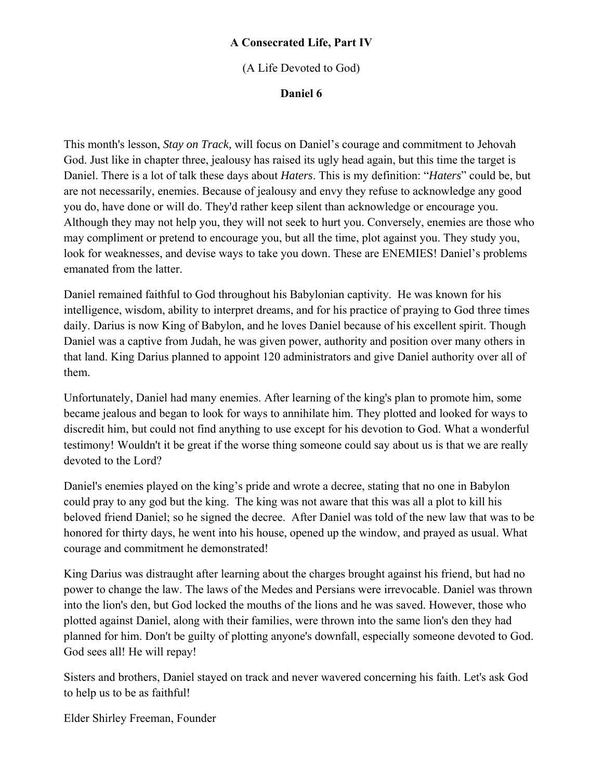#### **A Consecrated Life, Part IV**

(A Life Devoted to God)

#### **Daniel 6**

This month's lesson, *Stay on Track,* will focus on Daniel's courage and commitment to Jehovah God. Just like in chapter three, jealousy has raised its ugly head again, but this time the target is Daniel. There is a lot of talk these days about *Haters*. This is my definition: "*Haters*" could be, but are not necessarily, enemies. Because of jealousy and envy they refuse to acknowledge any good you do, have done or will do. They'd rather keep silent than acknowledge or encourage you. Although they may not help you, they will not seek to hurt you. Conversely, enemies are those who may compliment or pretend to encourage you, but all the time, plot against you. They study you, look for weaknesses, and devise ways to take you down. These are ENEMIES! Daniel's problems emanated from the latter.

Daniel remained faithful to God throughout his Babylonian captivity. He was known for his intelligence, wisdom, ability to interpret dreams, and for his practice of praying to God three times daily. Darius is now King of Babylon, and he loves Daniel because of his excellent spirit. Though Daniel was a captive from Judah, he was given power, authority and position over many others in that land. King Darius planned to appoint 120 administrators and give Daniel authority over all of them.

Unfortunately, Daniel had many enemies. After learning of the king's plan to promote him, some became jealous and began to look for ways to annihilate him. They plotted and looked for ways to discredit him, but could not find anything to use except for his devotion to God. What a wonderful testimony! Wouldn't it be great if the worse thing someone could say about us is that we are really devoted to the Lord?

Daniel's enemies played on the king's pride and wrote a decree, stating that no one in Babylon could pray to any god but the king. The king was not aware that this was all a plot to kill his beloved friend Daniel; so he signed the decree. After Daniel was told of the new law that was to be honored for thirty days, he went into his house, opened up the window, and prayed as usual. What courage and commitment he demonstrated!

King Darius was distraught after learning about the charges brought against his friend, but had no power to change the law. The laws of the Medes and Persians were irrevocable. Daniel was thrown into the lion's den, but God locked the mouths of the lions and he was saved. However, those who plotted against Daniel, along with their families, were thrown into the same lion's den they had planned for him. Don't be guilty of plotting anyone's downfall, especially someone devoted to God. God sees all! He will repay!

Sisters and brothers, Daniel stayed on track and never wavered concerning his faith. Let's ask God to help us to be as faithful!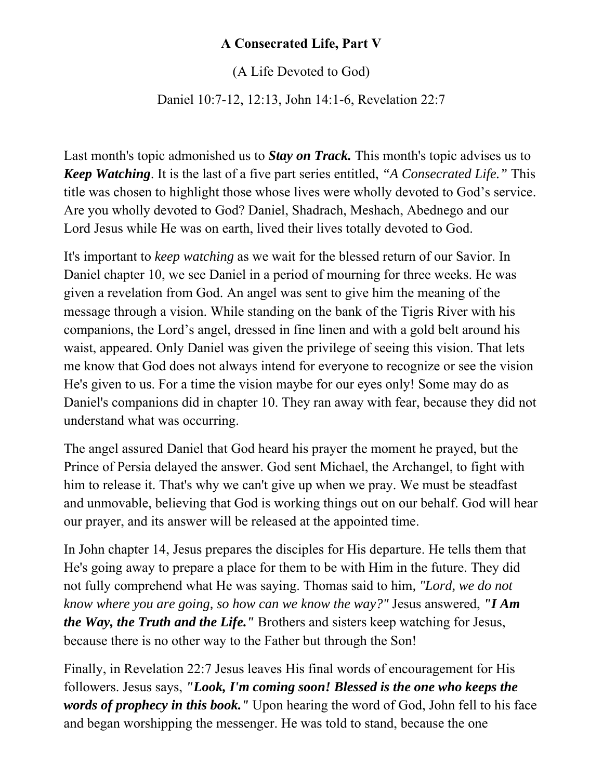# **A Consecrated Life, Part V**

(A Life Devoted to God)

Daniel 10:7-12, 12:13, John 14:1-6, Revelation 22:7

Last month's topic admonished us to *Stay on Track.* This month's topic advises us to *Keep Watching*. It is the last of a five part series entitled, *"A Consecrated Life."* This title was chosen to highlight those whose lives were wholly devoted to God's service. Are you wholly devoted to God? Daniel, Shadrach, Meshach, Abednego and our Lord Jesus while He was on earth, lived their lives totally devoted to God.

It's important to *keep watching* as we wait for the blessed return of our Savior. In Daniel chapter 10, we see Daniel in a period of mourning for three weeks. He was given a revelation from God. An angel was sent to give him the meaning of the message through a vision. While standing on the bank of the Tigris River with his companions, the Lord's angel, dressed in fine linen and with a gold belt around his waist, appeared. Only Daniel was given the privilege of seeing this vision. That lets me know that God does not always intend for everyone to recognize or see the vision He's given to us. For a time the vision maybe for our eyes only! Some may do as Daniel's companions did in chapter 10. They ran away with fear, because they did not understand what was occurring.

The angel assured Daniel that God heard his prayer the moment he prayed, but the Prince of Persia delayed the answer. God sent Michael, the Archangel, to fight with him to release it. That's why we can't give up when we pray. We must be steadfast and unmovable, believing that God is working things out on our behalf. God will hear our prayer, and its answer will be released at the appointed time.

In John chapter 14, Jesus prepares the disciples for His departure. He tells them that He's going away to prepare a place for them to be with Him in the future. They did not fully comprehend what He was saying. Thomas said to him*, "Lord, we do not know where you are going, so how can we know the way?"* Jesus answered, *"I Am the Way, the Truth and the Life."* Brothers and sisters keep watching for Jesus, because there is no other way to the Father but through the Son!

Finally, in Revelation 22:7 Jesus leaves His final words of encouragement for His followers. Jesus says, *"Look, I'm coming soon! Blessed is the one who keeps the words of prophecy in this book."* Upon hearing the word of God, John fell to his face and began worshipping the messenger. He was told to stand, because the one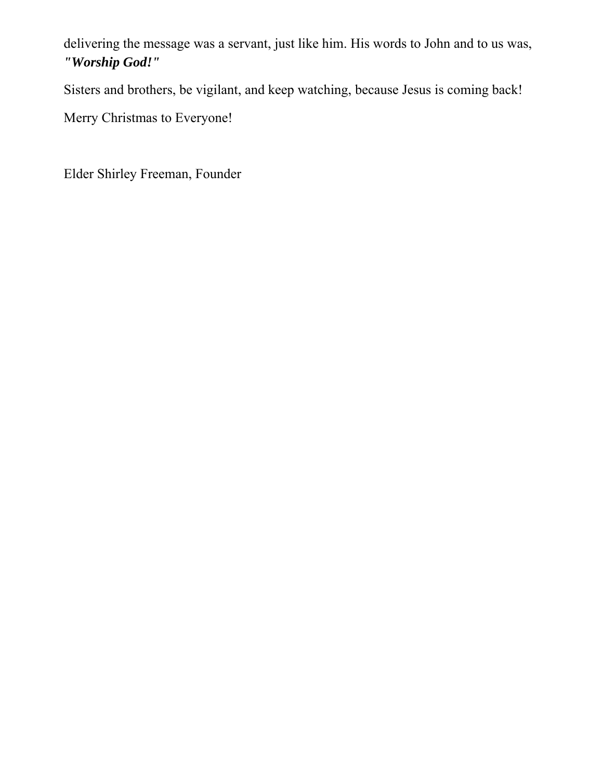delivering the message was a servant, just like him. His words to John and to us was, *"Worship God!"*

Sisters and brothers, be vigilant, and keep watching, because Jesus is coming back!

Merry Christmas to Everyone!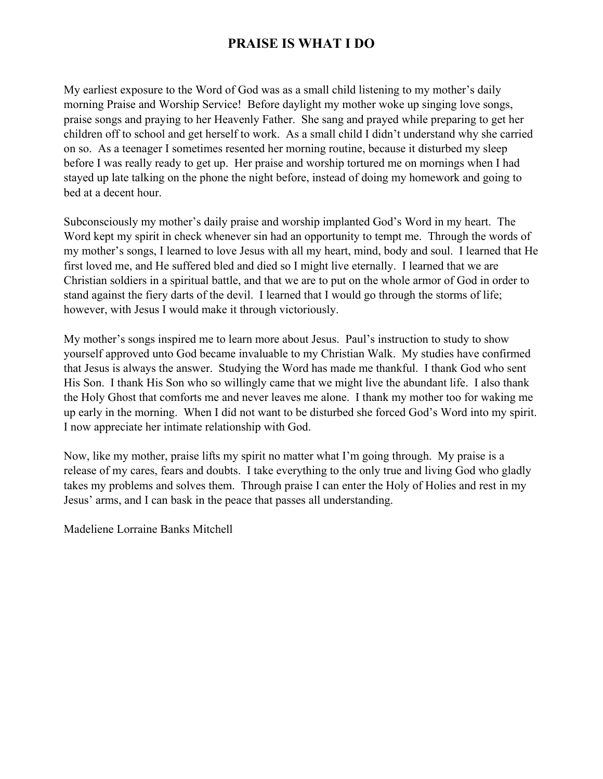# **PRAISE IS WHAT I DO**

My earliest exposure to the Word of God was as a small child listening to my mother's daily morning Praise and Worship Service! Before daylight my mother woke up singing love songs, praise songs and praying to her Heavenly Father. She sang and prayed while preparing to get her children off to school and get herself to work. As a small child I didn't understand why she carried on so. As a teenager I sometimes resented her morning routine, because it disturbed my sleep before I was really ready to get up. Her praise and worship tortured me on mornings when I had stayed up late talking on the phone the night before, instead of doing my homework and going to bed at a decent hour.

Subconsciously my mother's daily praise and worship implanted God's Word in my heart. The Word kept my spirit in check whenever sin had an opportunity to tempt me. Through the words of my mother's songs, I learned to love Jesus with all my heart, mind, body and soul. I learned that He first loved me, and He suffered bled and died so I might live eternally. I learned that we are Christian soldiers in a spiritual battle, and that we are to put on the whole armor of God in order to stand against the fiery darts of the devil. I learned that I would go through the storms of life; however, with Jesus I would make it through victoriously.

My mother's songs inspired me to learn more about Jesus. Paul's instruction to study to show yourself approved unto God became invaluable to my Christian Walk. My studies have confirmed that Jesus is always the answer. Studying the Word has made me thankful. I thank God who sent His Son. I thank His Son who so willingly came that we might live the abundant life. I also thank the Holy Ghost that comforts me and never leaves me alone. I thank my mother too for waking me up early in the morning. When I did not want to be disturbed she forced God's Word into my spirit. I now appreciate her intimate relationship with God.

Now, like my mother, praise lifts my spirit no matter what I'm going through. My praise is a release of my cares, fears and doubts. I take everything to the only true and living God who gladly takes my problems and solves them. Through praise I can enter the Holy of Holies and rest in my Jesus' arms, and I can bask in the peace that passes all understanding.

Madeliene Lorraine Banks Mitchell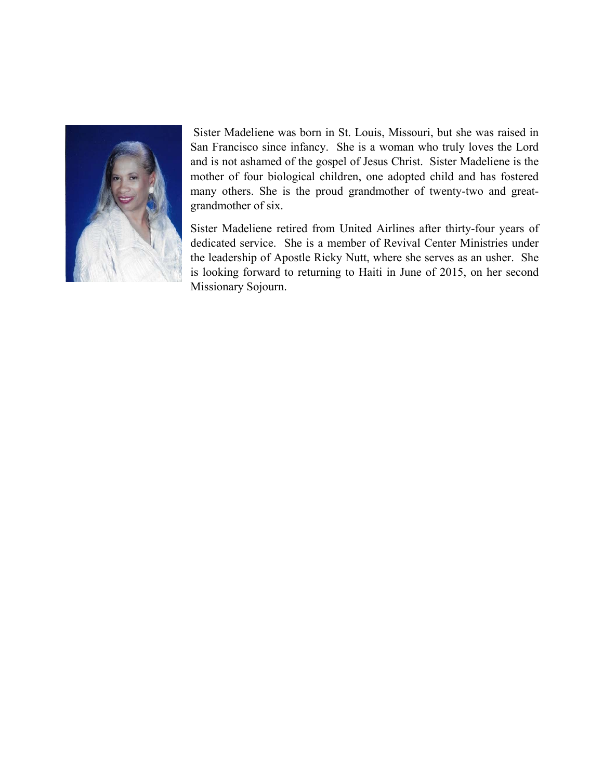

 Sister Madeliene was born in St. Louis, Missouri, but she was raised in San Francisco since infancy. She is a woman who truly loves the Lord and is not ashamed of the gospel of Jesus Christ. Sister Madeliene is the mother of four biological children, one adopted child and has fostered many others. She is the proud grandmother of twenty-two and greatgrandmother of six.

Sister Madeliene retired from United Airlines after thirty-four years of dedicated service. She is a member of Revival Center Ministries under the leadership of Apostle Ricky Nutt, where she serves as an usher. She is looking forward to returning to Haiti in June of 2015, on her second Missionary Sojourn.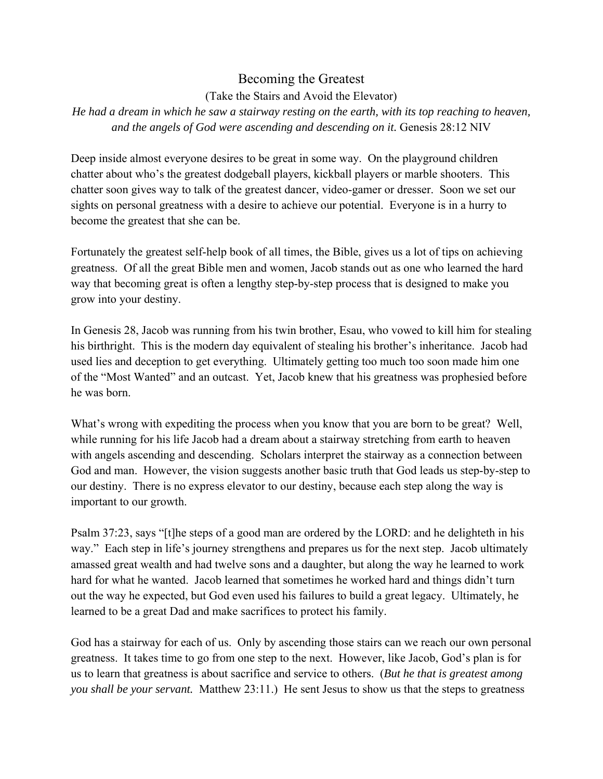### Becoming the Greatest

(Take the Stairs and Avoid the Elevator)

*He had a dream in which he saw a stairway resting on the earth, with its top reaching to heaven, and the angels of God were ascending and descending on it.* Genesis 28:12 NIV

Deep inside almost everyone desires to be great in some way. On the playground children chatter about who's the greatest dodgeball players, kickball players or marble shooters. This chatter soon gives way to talk of the greatest dancer, video-gamer or dresser. Soon we set our sights on personal greatness with a desire to achieve our potential. Everyone is in a hurry to become the greatest that she can be.

Fortunately the greatest self-help book of all times, the Bible, gives us a lot of tips on achieving greatness. Of all the great Bible men and women, Jacob stands out as one who learned the hard way that becoming great is often a lengthy step-by-step process that is designed to make you grow into your destiny.

In Genesis 28, Jacob was running from his twin brother, Esau, who vowed to kill him for stealing his birthright. This is the modern day equivalent of stealing his brother's inheritance. Jacob had used lies and deception to get everything. Ultimately getting too much too soon made him one of the "Most Wanted" and an outcast. Yet, Jacob knew that his greatness was prophesied before he was born.

What's wrong with expediting the process when you know that you are born to be great? Well, while running for his life Jacob had a dream about a stairway stretching from earth to heaven with angels ascending and descending. Scholars interpret the stairway as a connection between God and man. However, the vision suggests another basic truth that God leads us step-by-step to our destiny. There is no express elevator to our destiny, because each step along the way is important to our growth.

Psalm 37:23, says "[t]he steps of a good man are ordered by the LORD: and he delighteth in his way." Each step in life's journey strengthens and prepares us for the next step. Jacob ultimately amassed great wealth and had twelve sons and a daughter, but along the way he learned to work hard for what he wanted. Jacob learned that sometimes he worked hard and things didn't turn out the way he expected, but God even used his failures to build a great legacy. Ultimately, he learned to be a great Dad and make sacrifices to protect his family.

God has a stairway for each of us. Only by ascending those stairs can we reach our own personal greatness. It takes time to go from one step to the next. However, like Jacob, God's plan is for us to learn that greatness is about sacrifice and service to others. (*But he that is greatest among you shall be your servant.* Matthew 23:11.) He sent Jesus to show us that the steps to greatness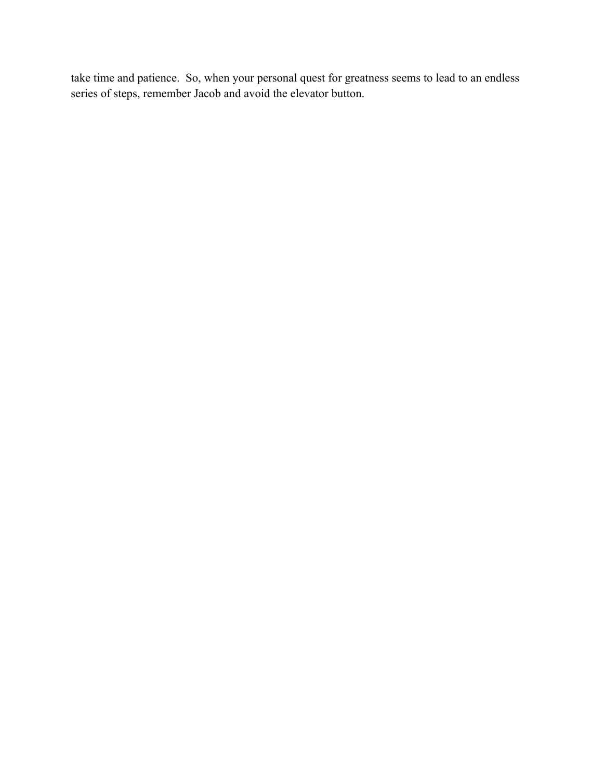take time and patience. So, when your personal quest for greatness seems to lead to an endless series of steps, remember Jacob and avoid the elevator button.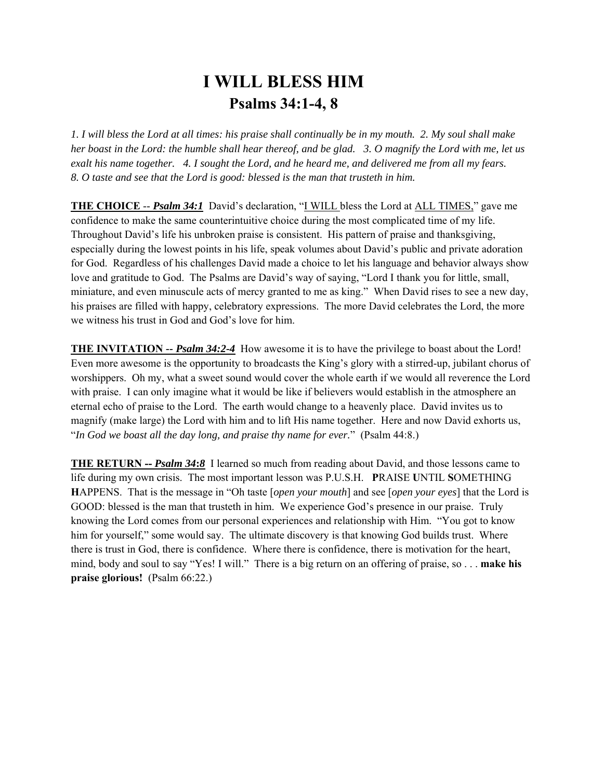# **I WILL BLESS HIM Psalms 34:1-4, 8**

*1. I will bless the Lord at all times: his praise shall continually be in my mouth. 2. My soul shall make her boast in the Lord: the humble shall hear thereof, and be glad. 3. O magnify the Lord with me, let us exalt his name together. 4. I sought the Lord, and he heard me, and delivered me from all my fears. 8. O taste and see that the Lord is good: blessed is the man that trusteth in him.* 

**THE CHOICE** -- *Psalm 34:1* David's declaration, "I WILL bless the Lord at ALL TIMES," gave me confidence to make the same counterintuitive choice during the most complicated time of my life. Throughout David's life his unbroken praise is consistent. His pattern of praise and thanksgiving, especially during the lowest points in his life, speak volumes about David's public and private adoration for God. Regardless of his challenges David made a choice to let his language and behavior always show love and gratitude to God. The Psalms are David's way of saying, "Lord I thank you for little, small, miniature, and even minuscule acts of mercy granted to me as king." When David rises to see a new day, his praises are filled with happy, celebratory expressions. The more David celebrates the Lord, the more we witness his trust in God and God's love for him.

**THE INVITATION** *-- Psalm 34:2-4* How awesome it is to have the privilege to boast about the Lord! Even more awesome is the opportunity to broadcasts the King's glory with a stirred-up, jubilant chorus of worshippers. Oh my, what a sweet sound would cover the whole earth if we would all reverence the Lord with praise. I can only imagine what it would be like if believers would establish in the atmosphere an eternal echo of praise to the Lord. The earth would change to a heavenly place. David invites us to magnify (make large) the Lord with him and to lift His name together. Here and now David exhorts us, "*In God we boast all the day long, and praise thy name for ever.*"(Psalm 44:8.)

**THE RETURN -- Psalm 34:8** I learned so much from reading about David, and those lessons came to life during my own crisis. The most important lesson was P.U.S.H. **P**RAISE **U**NTIL **S**OMETHING **H**APPENS. That is the message in "Oh taste [*open your mouth*] and see [*open your eyes*] that the Lord is GOOD: blessed is the man that trusteth in him. We experience God's presence in our praise. Truly knowing the Lord comes from our personal experiences and relationship with Him. "You got to know him for yourself," some would say. The ultimate discovery is that knowing God builds trust. Where there is trust in God, there is confidence. Where there is confidence, there is motivation for the heart, mind, body and soul to say "Yes! I will." There is a big return on an offering of praise, so . . . **make his praise glorious!** (Psalm 66:22.)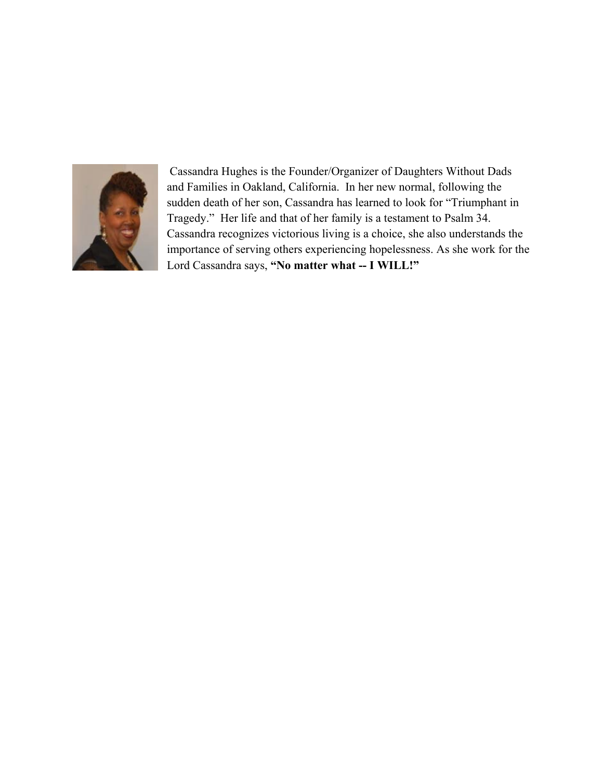

 Cassandra Hughes is the Founder/Organizer of Daughters Without Dads and Families in Oakland, California. In her new normal, following the sudden death of her son, Cassandra has learned to look for "Triumphant in Tragedy." Her life and that of her family is a testament to Psalm 34. Cassandra recognizes victorious living is a choice, she also understands the importance of serving others experiencing hopelessness. As she work for the Lord Cassandra says, **"No matter what -- I WILL!"**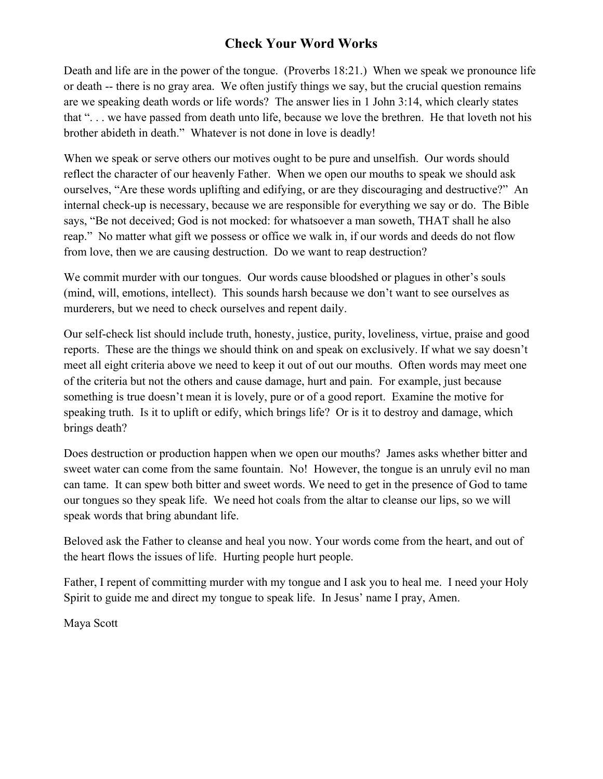## **Check Your Word Works**

Death and life are in the power of the tongue. (Proverbs 18:21.) When we speak we pronounce life or death -- there is no gray area. We often justify things we say, but the crucial question remains are we speaking death words or life words? The answer lies in 1 John 3:14, which clearly states that ". . . we have passed from death unto life, because we love the brethren. He that loveth not his brother abideth in death." Whatever is not done in love is deadly!

When we speak or serve others our motives ought to be pure and unselfish. Our words should reflect the character of our heavenly Father. When we open our mouths to speak we should ask ourselves, "Are these words uplifting and edifying, or are they discouraging and destructive?" An internal check-up is necessary, because we are responsible for everything we say or do. The Bible says, "Be not deceived; God is not mocked: for whatsoever a man soweth, THAT shall he also reap." No matter what gift we possess or office we walk in, if our words and deeds do not flow from love, then we are causing destruction. Do we want to reap destruction?

We commit murder with our tongues. Our words cause bloodshed or plagues in other's souls (mind, will, emotions, intellect). This sounds harsh because we don't want to see ourselves as murderers, but we need to check ourselves and repent daily.

Our self-check list should include truth, honesty, justice, purity, loveliness, virtue, praise and good reports. These are the things we should think on and speak on exclusively. If what we say doesn't meet all eight criteria above we need to keep it out of out our mouths. Often words may meet one of the criteria but not the others and cause damage, hurt and pain. For example, just because something is true doesn't mean it is lovely, pure or of a good report. Examine the motive for speaking truth. Is it to uplift or edify, which brings life? Or is it to destroy and damage, which brings death?

Does destruction or production happen when we open our mouths? James asks whether bitter and sweet water can come from the same fountain. No! However, the tongue is an unruly evil no man can tame. It can spew both bitter and sweet words. We need to get in the presence of God to tame our tongues so they speak life. We need hot coals from the altar to cleanse our lips, so we will speak words that bring abundant life.

Beloved ask the Father to cleanse and heal you now. Your words come from the heart, and out of the heart flows the issues of life. Hurting people hurt people.

Father, I repent of committing murder with my tongue and I ask you to heal me. I need your Holy Spirit to guide me and direct my tongue to speak life. In Jesus' name I pray, Amen.

Maya Scott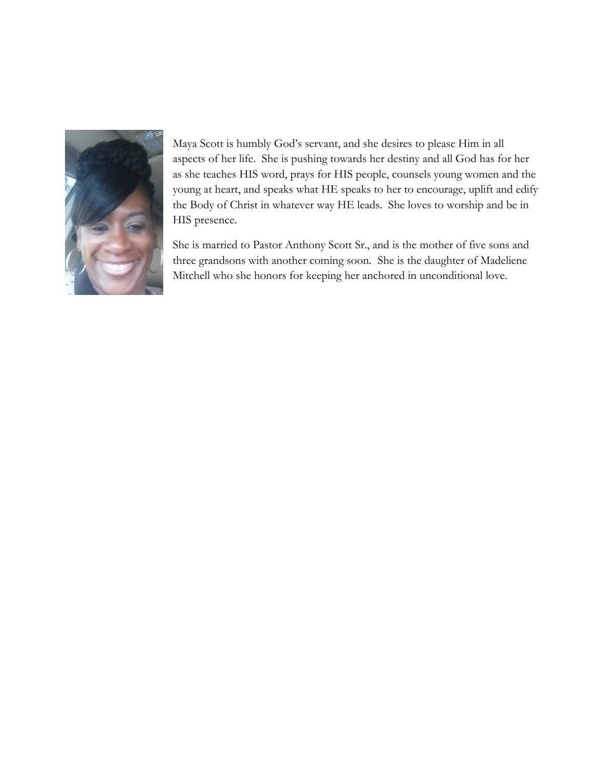

Maya Scott is humbly God's servant, and she desires to please Him in all aspects of her life. She is pushing towards her destiny and all God has for her as she teaches HIS word, prays for HIS people, counsels young women and the young at heart, and speaks what HE speaks to her to encourage, uplift and edify the Body of Christ in whatever way HE leads. She loves to worship and be in HIS presence.

She is married to Pastor Anthony Scott Sr., and is the mother of five sons and three grandsons with another coming soon. She is the daughter of Madeliene Mitchell who she honors for keeping her anchored in unconditional love.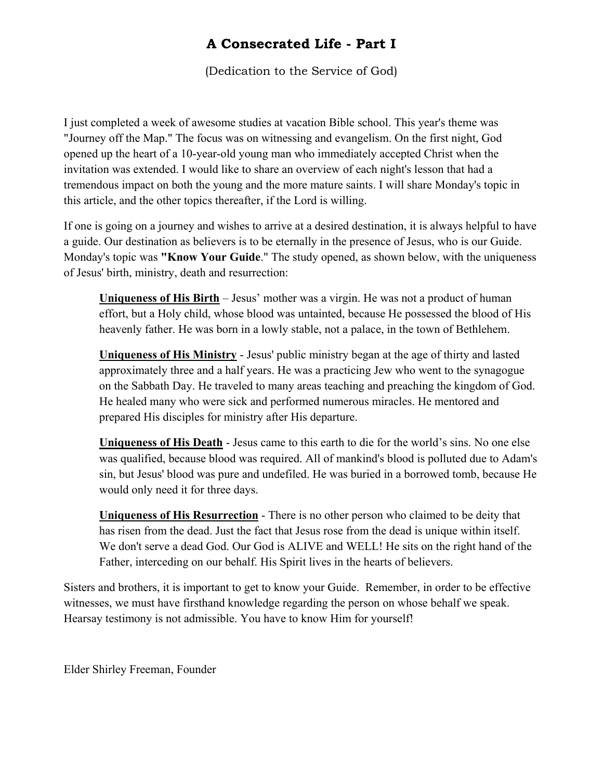# **A Consecrated Life - Part I**

(Dedication to the Service of God)

I just completed a week of awesome studies at vacation Bible school. This year's theme was "Journey off the Map." The focus was on witnessing and evangelism. On the first night, God opened up the heart of a 10-year-old young man who immediately accepted Christ when the invitation was extended. I would like to share an overview of each night's lesson that had a tremendous impact on both the young and the more mature saints. I will share Monday's topic in this article, and the other topics thereafter, if the Lord is willing.

If one is going on a journey and wishes to arrive at a desired destination, it is always helpful to have a guide. Our destination as believers is to be eternally in the presence of Jesus, who is our Guide. Monday's topic was **"Know Your Guide**." The study opened, as shown below, with the uniqueness of Jesus' birth, ministry, death and resurrection:

**Uniqueness of His Birth** – Jesus' mother was a virgin. He was not a product of human effort, but a Holy child, whose blood was untainted, because He possessed the blood of His heavenly father. He was born in a lowly stable, not a palace, in the town of Bethlehem.

**Uniqueness of His Ministry** - Jesus' public ministry began at the age of thirty and lasted approximately three and a half years. He was a practicing Jew who went to the synagogue on the Sabbath Day. He traveled to many areas teaching and preaching the kingdom of God. He healed many who were sick and performed numerous miracles. He mentored and prepared His disciples for ministry after His departure.

**Uniqueness of His Death** - Jesus came to this earth to die for the world's sins. No one else was qualified, because blood was required. All of mankind's blood is polluted due to Adam's sin, but Jesus' blood was pure and undefiled. He was buried in a borrowed tomb, because He would only need it for three days.

**Uniqueness of His Resurrection** - There is no other person who claimed to be deity that has risen from the dead. Just the fact that Jesus rose from the dead is unique within itself. We don't serve a dead God. Our God is ALIVE and WELL! He sits on the right hand of the Father, interceding on our behalf. His Spirit lives in the hearts of believers.

Sisters and brothers, it is important to get to know your Guide. Remember, in order to be effective witnesses, we must have firsthand knowledge regarding the person on whose behalf we speak. Hearsay testimony is not admissible. You have to know Him for yourself!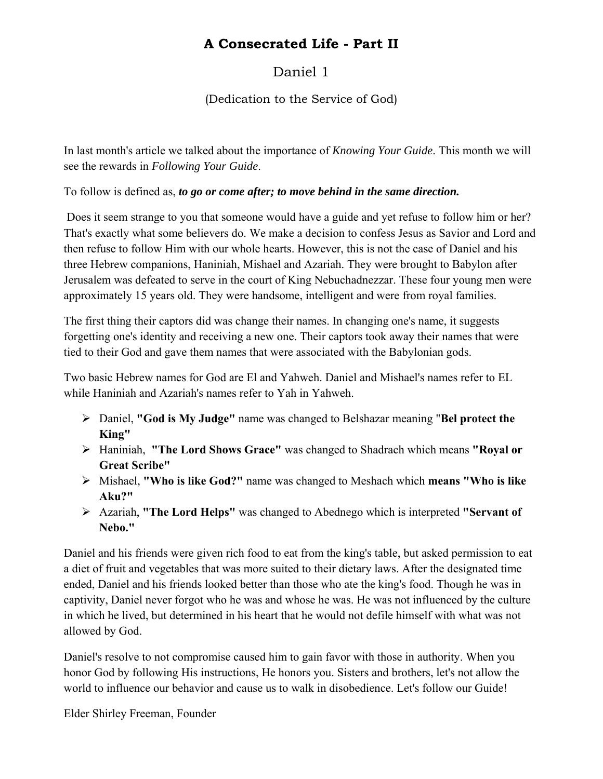# **A Consecrated Life - Part II**

# Daniel 1

## (Dedication to the Service of God)

In last month's article we talked about the importance of *Knowing Your Guide*. This month we will see the rewards in *Following Your Guide*.

To follow is defined as, *to go or come after; to move behind in the same direction.* 

 Does it seem strange to you that someone would have a guide and yet refuse to follow him or her? That's exactly what some believers do. We make a decision to confess Jesus as Savior and Lord and then refuse to follow Him with our whole hearts. However, this is not the case of Daniel and his three Hebrew companions, Haniniah, Mishael and Azariah. They were brought to Babylon after Jerusalem was defeated to serve in the court of King Nebuchadnezzar. These four young men were approximately 15 years old. They were handsome, intelligent and were from royal families.

The first thing their captors did was change their names. In changing one's name, it suggests forgetting one's identity and receiving a new one. Their captors took away their names that were tied to their God and gave them names that were associated with the Babylonian gods.

Two basic Hebrew names for God are El and Yahweh. Daniel and Mishael's names refer to EL while Haniniah and Azariah's names refer to Yah in Yahweh.

- Daniel, **"God is My Judge"** name was changed to Belshazar meaning "**Bel protect the King"**
- Haniniah, **"The Lord Shows Grace"** was changed to Shadrach which means **"Royal or Great Scribe"**
- Mishael, **"Who is like God?"** name was changed to Meshach which **means "Who is like Aku?"**
- Azariah, **"The Lord Helps"** was changed to Abednego which is interpreted **"Servant of Nebo."**

Daniel and his friends were given rich food to eat from the king's table, but asked permission to eat a diet of fruit and vegetables that was more suited to their dietary laws. After the designated time ended, Daniel and his friends looked better than those who ate the king's food. Though he was in captivity, Daniel never forgot who he was and whose he was. He was not influenced by the culture in which he lived, but determined in his heart that he would not defile himself with what was not allowed by God.

Daniel's resolve to not compromise caused him to gain favor with those in authority. When you honor God by following His instructions, He honors you. Sisters and brothers, let's not allow the world to influence our behavior and cause us to walk in disobedience. Let's follow our Guide!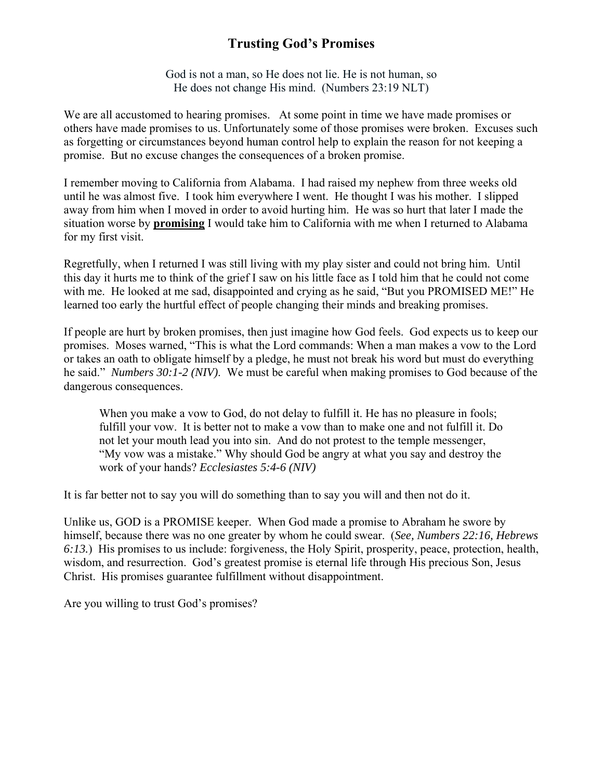# **Trusting God's Promises**

God is not a man, so He does not lie. He is not human, so He does not change His mind. (Numbers 23:19 NLT)

We are all accustomed to hearing promises. At some point in time we have made promises or others have made promises to us. Unfortunately some of those promises were broken. Excuses such as forgetting or circumstances beyond human control help to explain the reason for not keeping a promise. But no excuse changes the consequences of a broken promise.

I remember moving to California from Alabama. I had raised my nephew from three weeks old until he was almost five. I took him everywhere I went. He thought I was his mother. I slipped away from him when I moved in order to avoid hurting him. He was so hurt that later I made the situation worse by **promising** I would take him to California with me when I returned to Alabama for my first visit.

Regretfully, when I returned I was still living with my play sister and could not bring him. Until this day it hurts me to think of the grief I saw on his little face as I told him that he could not come with me. He looked at me sad, disappointed and crying as he said, "But you PROMISED ME!" He learned too early the hurtful effect of people changing their minds and breaking promises.

If people are hurt by broken promises, then just imagine how God feels. God expects us to keep our promises. Moses warned, "This is what the Lord commands: When a man makes a vow to the Lord or takes an oath to obligate himself by a pledge, he must not break his word but must do everything he said." *Numbers 30:1-2 (NIV)*. We must be careful when making promises to God because of the dangerous consequences.

When you make a vow to God, do not delay to fulfill it. He has no pleasure in fools; fulfill your vow. It is better not to make a vow than to make one and not fulfill it. Do not let your mouth lead you into sin. And do not protest to the temple messenger, "My vow was a mistake." Why should God be angry at what you say and destroy the work of your hands? *Ecclesiastes 5:4-6 (NIV)*

It is far better not to say you will do something than to say you will and then not do it.

Unlike us, GOD is a PROMISE keeper. When God made a promise to Abraham he swore by himself, because there was no one greater by whom he could swear. (*See, Numbers 22:16, Hebrews 6:13.*) His promises to us include: forgiveness, the Holy Spirit, prosperity, peace, protection, health, wisdom, and resurrection. God's greatest promise is eternal life through His precious Son, Jesus Christ. His promises guarantee fulfillment without disappointment.

Are you willing to trust God's promises?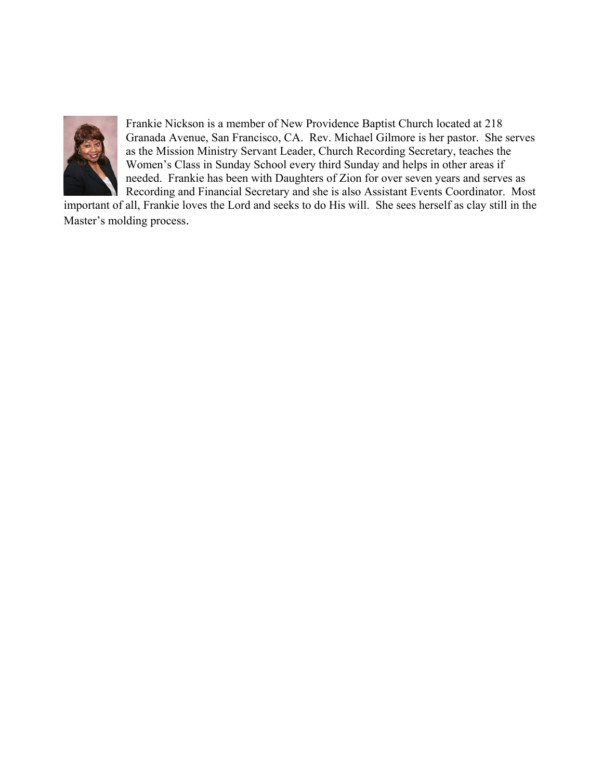

Frankie Nickson is a member of New Providence Baptist Church located at 218 Granada Avenue, San Francisco, CA. Rev. Michael Gilmore is her pastor. She serves as the Mission Ministry Servant Leader, Church Recording Secretary, teaches the Women's Class in Sunday School every third Sunday and helps in other areas if needed. Frankie has been with Daughters of Zion for over seven years and serves as Recording and Financial Secretary and she is also Assistant Events Coordinator. Most

important of all, Frankie loves the Lord and seeks to do His will. She sees herself as clay still in the Master's molding process.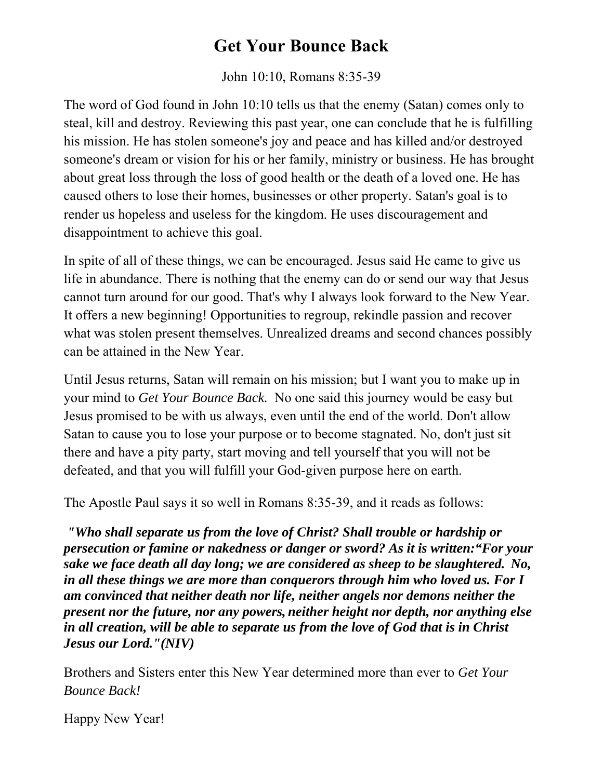# **Get Your Bounce Back**

John 10:10, Romans 8:35-39

The word of God found in John 10:10 tells us that the enemy (Satan) comes only to steal, kill and destroy. Reviewing this past year, one can conclude that he is fulfilling his mission. He has stolen someone's joy and peace and has killed and/or destroyed someone's dream or vision for his or her family, ministry or business. He has brought about great loss through the loss of good health or the death of a loved one. He has caused others to lose their homes, businesses or other property. Satan's goal is to render us hopeless and useless for the kingdom. He uses discouragement and disappointment to achieve this goal.

In spite of all of these things, we can be encouraged. Jesus said He came to give us life in abundance. There is nothing that the enemy can do or send our way that Jesus cannot turn around for our good. That's why I always look forward to the New Year. It offers a new beginning! Opportunities to regroup, rekindle passion and recover what was stolen present themselves. Unrealized dreams and second chances possibly can be attained in the New Year.

Until Jesus returns, Satan will remain on his mission; but I want you to make up in your mind to *Get Your Bounce Back.* No one said this journey would be easy but Jesus promised to be with us always, even until the end of the world. Don't allow Satan to cause you to lose your purpose or to become stagnated. No, don't just sit there and have a pity party, start moving and tell yourself that you will not be defeated, and that you will fulfill your God-given purpose here on earth.

The Apostle Paul says it so well in Romans 8:35-39, and it reads as follows:

*"Who shall separate us from the love of Christ? Shall trouble or hardship or persecution or famine or nakedness or danger or sword? As it is written:"For your sake we face death all day long; we are considered as sheep to be slaughtered. No, in all these things we are more than conquerors through him who loved us. For I am convinced that neither death nor life, neither angels nor demons neither the present nor the future, nor any powers, neither height nor depth, nor anything else in all creation, will be able to separate us from the love of God that is in Christ Jesus our Lord."(NIV)* 

Brothers and Sisters enter this New Year determined more than ever to *Get Your Bounce Back!* 

Happy New Year!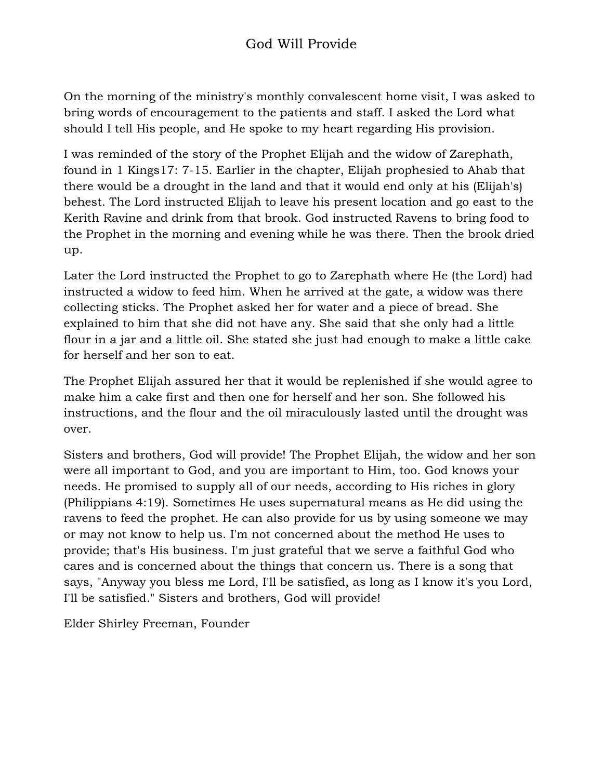On the morning of the ministry's monthly convalescent home visit, I was asked to bring words of encouragement to the patients and staff. I asked the Lord what should I tell His people, and He spoke to my heart regarding His provision.

I was reminded of the story of the Prophet Elijah and the widow of Zarephath, found in 1 Kings17: 7-15. Earlier in the chapter, Elijah prophesied to Ahab that there would be a drought in the land and that it would end only at his (Elijah's) behest. The Lord instructed Elijah to leave his present location and go east to the Kerith Ravine and drink from that brook. God instructed Ravens to bring food to the Prophet in the morning and evening while he was there. Then the brook dried up.

Later the Lord instructed the Prophet to go to Zarephath where He (the Lord) had instructed a widow to feed him. When he arrived at the gate, a widow was there collecting sticks. The Prophet asked her for water and a piece of bread. She explained to him that she did not have any. She said that she only had a little flour in a jar and a little oil. She stated she just had enough to make a little cake for herself and her son to eat.

The Prophet Elijah assured her that it would be replenished if she would agree to make him a cake first and then one for herself and her son. She followed his instructions, and the flour and the oil miraculously lasted until the drought was over.

Sisters and brothers, God will provide! The Prophet Elijah, the widow and her son were all important to God, and you are important to Him, too. God knows your needs. He promised to supply all of our needs, according to His riches in glory (Philippians 4:19). Sometimes He uses supernatural means as He did using the ravens to feed the prophet. He can also provide for us by using someone we may or may not know to help us. I'm not concerned about the method He uses to provide; that's His business. I'm just grateful that we serve a faithful God who cares and is concerned about the things that concern us. There is a song that says, "Anyway you bless me Lord, I'll be satisfied, as long as I know it's you Lord, I'll be satisfied." Sisters and brothers, God will provide!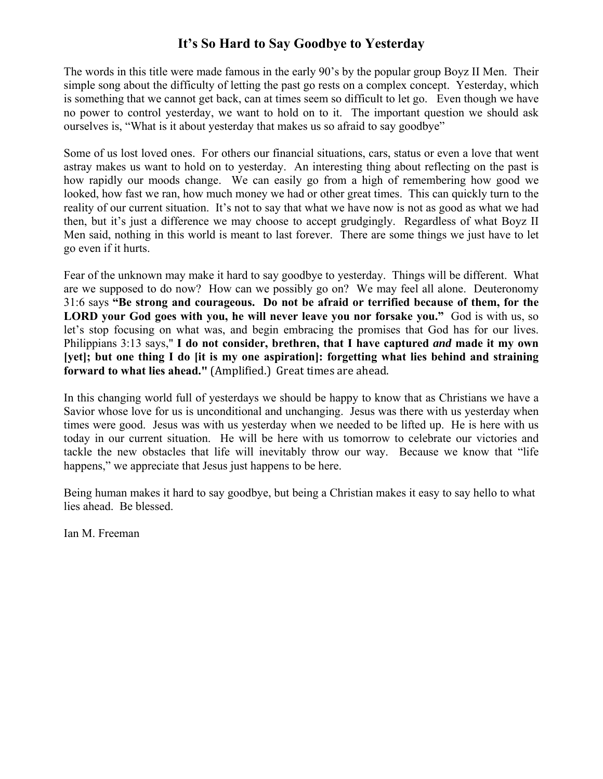## **It's So Hard to Say Goodbye to Yesterday**

The words in this title were made famous in the early 90's by the popular group Boyz II Men. Their simple song about the difficulty of letting the past go rests on a complex concept. Yesterday, which is something that we cannot get back, can at times seem so difficult to let go. Even though we have no power to control yesterday, we want to hold on to it. The important question we should ask ourselves is, "What is it about yesterday that makes us so afraid to say goodbye"

Some of us lost loved ones. For others our financial situations, cars, status or even a love that went astray makes us want to hold on to yesterday. An interesting thing about reflecting on the past is how rapidly our moods change. We can easily go from a high of remembering how good we looked, how fast we ran, how much money we had or other great times. This can quickly turn to the reality of our current situation. It's not to say that what we have now is not as good as what we had then, but it's just a difference we may choose to accept grudgingly. Regardless of what Boyz II Men said, nothing in this world is meant to last forever. There are some things we just have to let go even if it hurts.

Fear of the unknown may make it hard to say goodbye to yesterday. Things will be different. What are we supposed to do now? How can we possibly go on? We may feel all alone. Deuteronomy 31:6 says **"Be strong and courageous. Do not be afraid or terrified because of them, for the LORD your God goes with you, he will never leave you nor forsake you."** God is with us, so let's stop focusing on what was, and begin embracing the promises that God has for our lives. Philippians 3:13 says," **I do not consider, brethren, that I have captured** *and* **made it my own [yet]; but one thing I do [it is my one aspiration]: forgetting what lies behind and straining forward to what lies ahead."** (Amplified.) Great times are ahead.

In this changing world full of yesterdays we should be happy to know that as Christians we have a Savior whose love for us is unconditional and unchanging. Jesus was there with us yesterday when times were good. Jesus was with us yesterday when we needed to be lifted up. He is here with us today in our current situation. He will be here with us tomorrow to celebrate our victories and tackle the new obstacles that life will inevitably throw our way. Because we know that "life happens," we appreciate that Jesus just happens to be here.

Being human makes it hard to say goodbye, but being a Christian makes it easy to say hello to what lies ahead. Be blessed.

Ian M. Freeman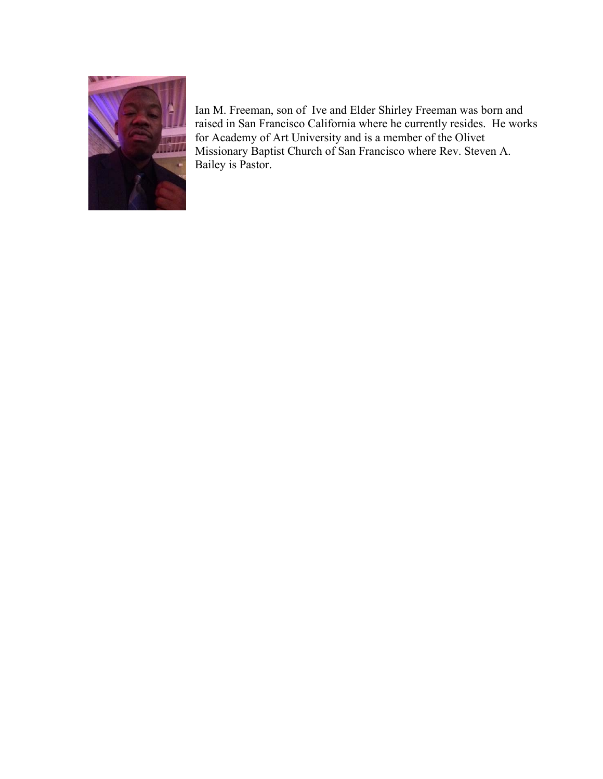

Ian M. Freeman, son of Ive and Elder Shirley Freeman was born and raised in San Francisco California where he currently resides. He works for Academy of Art University and is a member of the Olivet Missionary Baptist Church of San Francisco where Rev. Steven A. Bailey is Pastor.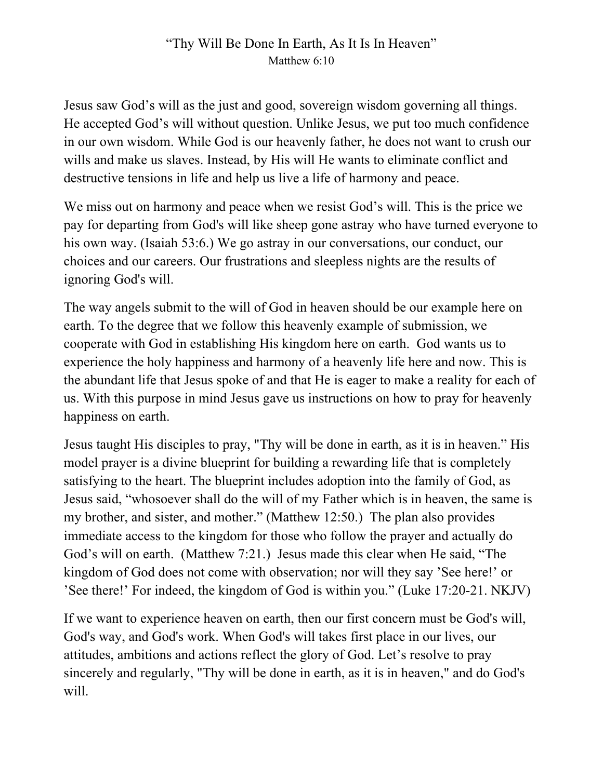# "Thy Will Be Done In Earth, As It Is In Heaven" Matthew 6:10

Jesus saw God's will as the just and good, sovereign wisdom governing all things. He accepted God's will without question. Unlike Jesus, we put too much confidence in our own wisdom. While God is our heavenly father, he does not want to crush our wills and make us slaves. Instead, by His will He wants to eliminate conflict and destructive tensions in life and help us live a life of harmony and peace.

We miss out on harmony and peace when we resist God's will. This is the price we pay for departing from God's will like sheep gone astray who have turned everyone to his own way. (Isaiah 53:6.) We go astray in our conversations, our conduct, our choices and our careers. Our frustrations and sleepless nights are the results of ignoring God's will.

The way angels submit to the will of God in heaven should be our example here on earth. To the degree that we follow this heavenly example of submission, we cooperate with God in establishing His kingdom here on earth. God wants us to experience the holy happiness and harmony of a heavenly life here and now. This is the abundant life that Jesus spoke of and that He is eager to make a reality for each of us. With this purpose in mind Jesus gave us instructions on how to pray for heavenly happiness on earth.

Jesus taught His disciples to pray, "Thy will be done in earth, as it is in heaven." His model prayer is a divine blueprint for building a rewarding life that is completely satisfying to the heart. The blueprint includes adoption into the family of God, as Jesus said, "whosoever shall do the will of my Father which is in heaven, the same is my brother, and sister, and mother." (Matthew 12:50.) The plan also provides immediate access to the kingdom for those who follow the prayer and actually do God's will on earth. (Matthew 7:21.) Jesus made this clear when He said, "The kingdom of God does not come with observation; nor will they say 'See here!' or 'See there!' For indeed, the kingdom of God is within you." (Luke 17:20-21. NKJV)

If we want to experience heaven on earth, then our first concern must be God's will, God's way, and God's work. When God's will takes first place in our lives, our attitudes, ambitions and actions reflect the glory of God. Let's resolve to pray sincerely and regularly, "Thy will be done in earth, as it is in heaven," and do God's will.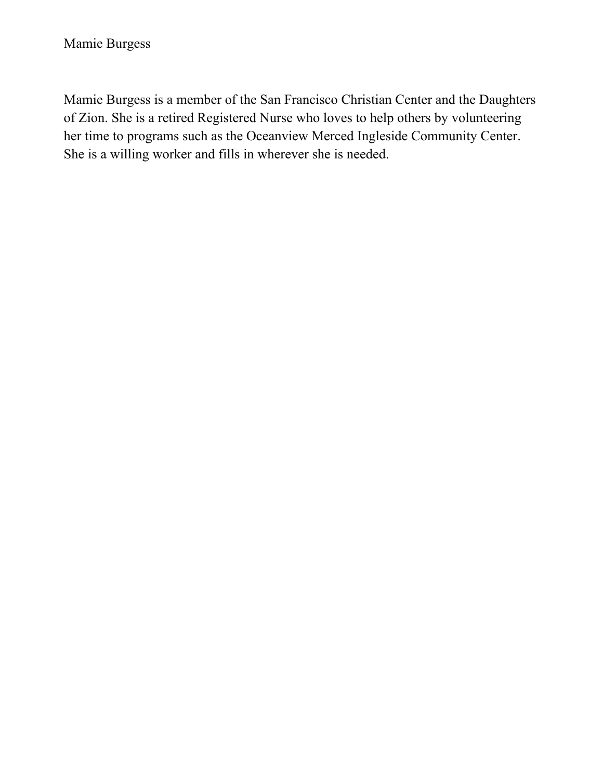Mamie Burgess is a member of the San Francisco Christian Center and the Daughters of Zion. She is a retired Registered Nurse who loves to help others by volunteering her time to programs such as the Oceanview Merced Ingleside Community Center. She is a willing worker and fills in wherever she is needed.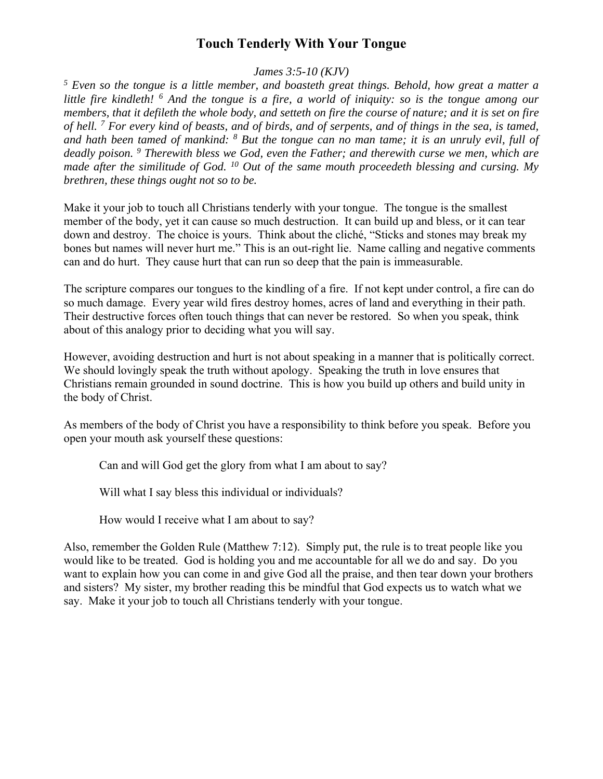## **Touch Tenderly With Your Tongue**

*James 3:5-10 (KJV)* 

*5 Even so the tongue is a little member, and boasteth great things. Behold, how great a matter a*  little fire kindleth! <sup>6</sup> And the tongue is a fire, a world of iniquity: so is the tongue among our *members, that it defileth the whole body, and setteth on fire the course of nature; and it is set on fire of hell. 7 For every kind of beasts, and of birds, and of serpents, and of things in the sea, is tamed,*  and hath been tamed of mankind: <sup>8</sup> But the tongue can no man tame; it is an unruly evil, full of *deadly poison. 9 Therewith bless we God, even the Father; and therewith curse we men, which are made after the similitude of God. 10 Out of the same mouth proceedeth blessing and cursing. My brethren, these things ought not so to be.* 

Make it your job to touch all Christians tenderly with your tongue. The tongue is the smallest member of the body, yet it can cause so much destruction. It can build up and bless, or it can tear down and destroy. The choice is yours. Think about the cliché, "Sticks and stones may break my bones but names will never hurt me." This is an out-right lie. Name calling and negative comments can and do hurt. They cause hurt that can run so deep that the pain is immeasurable.

The scripture compares our tongues to the kindling of a fire. If not kept under control, a fire can do so much damage. Every year wild fires destroy homes, acres of land and everything in their path. Their destructive forces often touch things that can never be restored. So when you speak, think about of this analogy prior to deciding what you will say.

However, avoiding destruction and hurt is not about speaking in a manner that is politically correct. We should lovingly speak the truth without apology. Speaking the truth in love ensures that Christians remain grounded in sound doctrine. This is how you build up others and build unity in the body of Christ.

As members of the body of Christ you have a responsibility to think before you speak. Before you open your mouth ask yourself these questions:

Can and will God get the glory from what I am about to say?

Will what I say bless this individual or individuals?

How would I receive what I am about to say?

Also, remember the Golden Rule (Matthew 7:12). Simply put, the rule is to treat people like you would like to be treated. God is holding you and me accountable for all we do and say. Do you want to explain how you can come in and give God all the praise, and then tear down your brothers and sisters? My sister, my brother reading this be mindful that God expects us to watch what we say. Make it your job to touch all Christians tenderly with your tongue.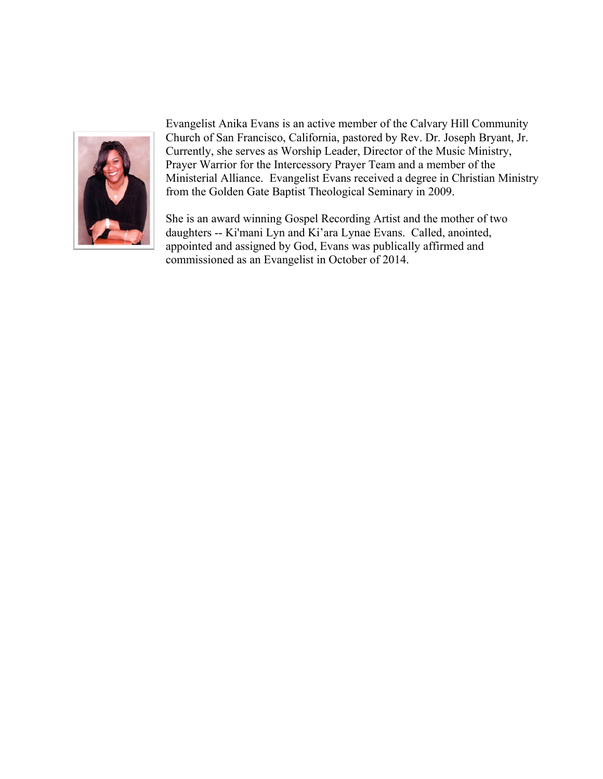

Evangelist Anika Evans is an active member of the Calvary Hill Community Church of San Francisco, California, pastored by Rev. Dr. Joseph Bryant, Jr. Currently, she serves as Worship Leader, Director of the Music Ministry, Prayer Warrior for the Intercessory Prayer Team and a member of the Ministerial Alliance. Evangelist Evans received a degree in Christian Ministry from the Golden Gate Baptist Theological Seminary in 2009.

She is an award winning Gospel Recording Artist and the mother of two daughters -- Ki'mani Lyn and Ki'ara Lynae Evans. Called, anointed, appointed and assigned by God, Evans was publically affirmed and commissioned as an Evangelist in October of 2014.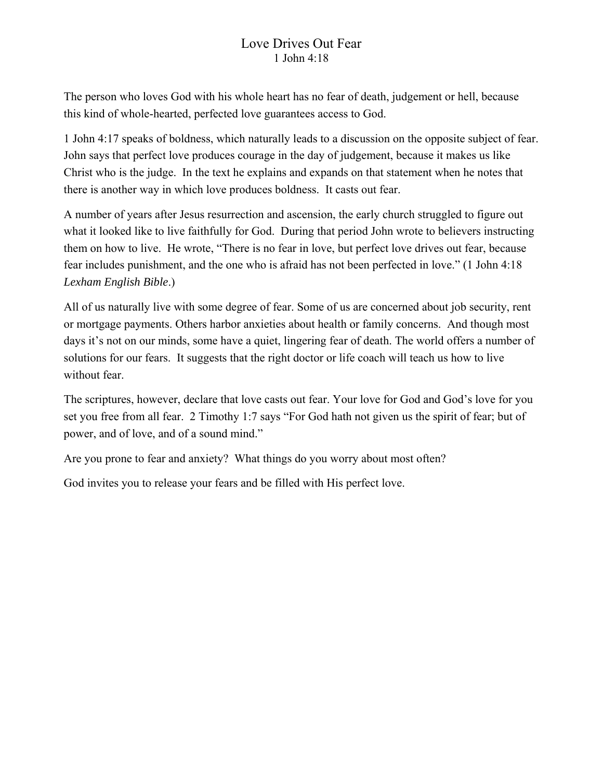## Love Drives Out Fear 1 John 4:18

The person who loves God with his whole heart has no fear of death, judgement or hell, because this kind of whole-hearted, perfected love guarantees access to God.

1 John 4:17 speaks of boldness, which naturally leads to a discussion on the opposite subject of fear. John says that perfect love produces courage in the day of judgement, because it makes us like Christ who is the judge. In the text he explains and expands on that statement when he notes that there is another way in which love produces boldness. It casts out fear.

A number of years after Jesus resurrection and ascension, the early church struggled to figure out what it looked like to live faithfully for God. During that period John wrote to believers instructing them on how to live. He wrote, "There is no fear in love, but perfect love drives out fear, because fear includes punishment, and the one who is afraid has not been perfected in love." (1 John 4:18 *Lexham English Bible*.)

All of us naturally live with some degree of fear. Some of us are concerned about job security, rent or mortgage payments. Others harbor anxieties about health or family concerns. And though most days it's not on our minds, some have a quiet, lingering fear of death. The world offers a number of solutions for our fears. It suggests that the right doctor or life coach will teach us how to live without fear.

The scriptures, however, declare that love casts out fear. Your love for God and God's love for you set you free from all fear. 2 Timothy 1:7 says "For God hath not given us the spirit of fear; but of power, and of love, and of a sound mind."

Are you prone to fear and anxiety? What things do you worry about most often?

God invites you to release your fears and be filled with His perfect love.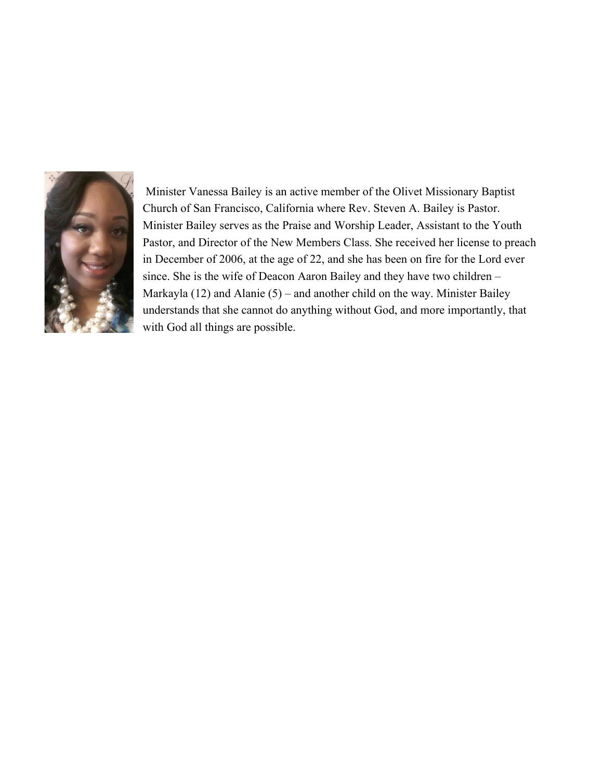

 Minister Vanessa Bailey is an active member of the Olivet Missionary Baptist Church of San Francisco, California where Rev. Steven A. Bailey is Pastor. Minister Bailey serves as the Praise and Worship Leader, Assistant to the Youth Pastor, and Director of the New Members Class. She received her license to preach in December of 2006, at the age of 22, and she has been on fire for the Lord ever since. She is the wife of Deacon Aaron Bailey and they have two children – Markayla (12) and Alanie (5) – and another child on the way. Minister Bailey understands that she cannot do anything without God, and more importantly, that with God all things are possible.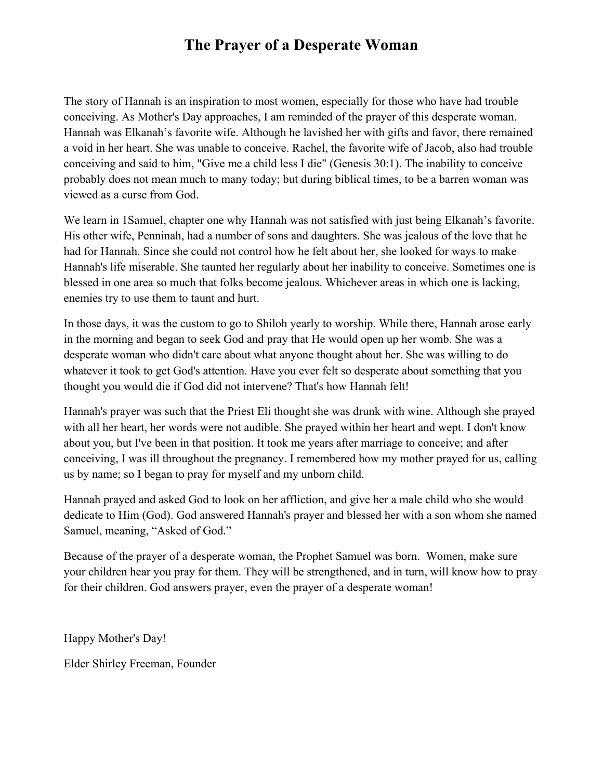# **The Prayer of a Desperate Woman**

The story of Hannah is an inspiration to most women, especially for those who have had trouble conceiving. As Mother's Day approaches, I am reminded of the prayer of this desperate woman. Hannah was Elkanah's favorite wife. Although he lavished her with gifts and favor, there remained a void in her heart. She was unable to conceive. Rachel, the favorite wife of Jacob, also had trouble conceiving and said to him, "Give me a child less I die" (Genesis 30:1). The inability to conceive probably does not mean much to many today; but during biblical times, to be a barren woman was viewed as a curse from God.

We learn in 1Samuel, chapter one why Hannah was not satisfied with just being Elkanah's favorite. His other wife, Penninah, had a number of sons and daughters. She was jealous of the love that he had for Hannah. Since she could not control how he felt about her, she looked for ways to make Hannah's life miserable. She taunted her regularly about her inability to conceive. Sometimes one is blessed in one area so much that folks become jealous. Whichever areas in which one is lacking, enemies try to use them to taunt and hurt.

In those days, it was the custom to go to Shiloh yearly to worship. While there, Hannah arose early in the morning and began to seek God and pray that He would open up her womb. She was a desperate woman who didn't care about what anyone thought about her. She was willing to do whatever it took to get God's attention. Have you ever felt so desperate about something that you thought you would die if God did not intervene? That's how Hannah felt!

Hannah's prayer was such that the Priest Eli thought she was drunk with wine. Although she prayed with all her heart, her words were not audible. She prayed within her heart and wept. I don't know about you, but I've been in that position. It took me years after marriage to conceive; and after conceiving, I was ill throughout the pregnancy. I remembered how my mother prayed for us, calling us by name; so I began to pray for myself and my unborn child.

Hannah prayed and asked God to look on her affliction, and give her a male child who she would dedicate to Him (God). God answered Hannah's prayer and blessed her with a son whom she named Samuel, meaning, "Asked of God."

Because of the prayer of a desperate woman, the Prophet Samuel was born. Women, make sure your children hear you pray for them. They will be strengthened, and in turn, will know how to pray for their children. God answers prayer, even the prayer of a desperate woman!

Happy Mother's Day!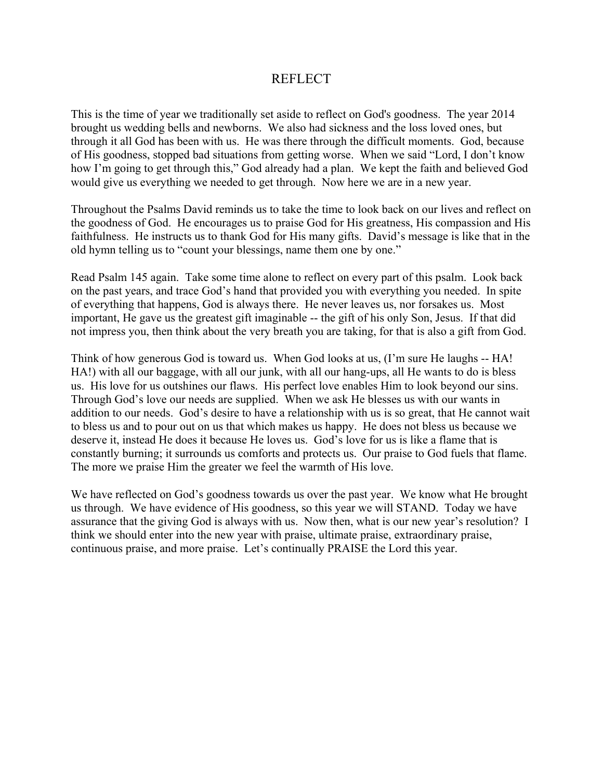#### REFLECT

This is the time of year we traditionally set aside to reflect on God's goodness. The year 2014 brought us wedding bells and newborns. We also had sickness and the loss loved ones, but through it all God has been with us. He was there through the difficult moments. God, because of His goodness, stopped bad situations from getting worse. When we said "Lord, I don't know how I'm going to get through this," God already had a plan. We kept the faith and believed God would give us everything we needed to get through. Now here we are in a new year.

Throughout the Psalms David reminds us to take the time to look back on our lives and reflect on the goodness of God. He encourages us to praise God for His greatness, His compassion and His faithfulness. He instructs us to thank God for His many gifts. David's message is like that in the old hymn telling us to "count your blessings, name them one by one."

Read Psalm 145 again. Take some time alone to reflect on every part of this psalm. Look back on the past years, and trace God's hand that provided you with everything you needed. In spite of everything that happens, God is always there. He never leaves us, nor forsakes us. Most important, He gave us the greatest gift imaginable -- the gift of his only Son, Jesus. If that did not impress you, then think about the very breath you are taking, for that is also a gift from God.

Think of how generous God is toward us. When God looks at us, (I'm sure He laughs -- HA! HA!) with all our baggage, with all our junk, with all our hang-ups, all He wants to do is bless us. His love for us outshines our flaws. His perfect love enables Him to look beyond our sins. Through God's love our needs are supplied. When we ask He blesses us with our wants in addition to our needs. God's desire to have a relationship with us is so great, that He cannot wait to bless us and to pour out on us that which makes us happy. He does not bless us because we deserve it, instead He does it because He loves us. God's love for us is like a flame that is constantly burning; it surrounds us comforts and protects us. Our praise to God fuels that flame. The more we praise Him the greater we feel the warmth of His love.

We have reflected on God's goodness towards us over the past year. We know what He brought us through. We have evidence of His goodness, so this year we will STAND. Today we have assurance that the giving God is always with us. Now then, what is our new year's resolution? I think we should enter into the new year with praise, ultimate praise, extraordinary praise, continuous praise, and more praise. Let's continually PRAISE the Lord this year.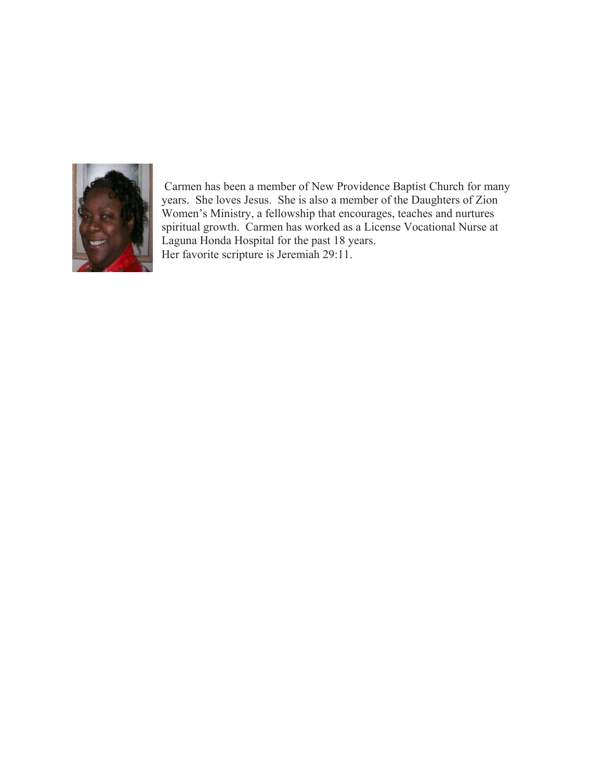

 Carmen has been a member of New Providence Baptist Church for many years. She loves Jesus. She is also a member of the Daughters of Zion Women's Ministry, a fellowship that encourages, teaches and nurtures spiritual growth. Carmen has worked as a License Vocational Nurse at Laguna Honda Hospital for the past 18 years. Her favorite scripture is Jeremiah 29:11.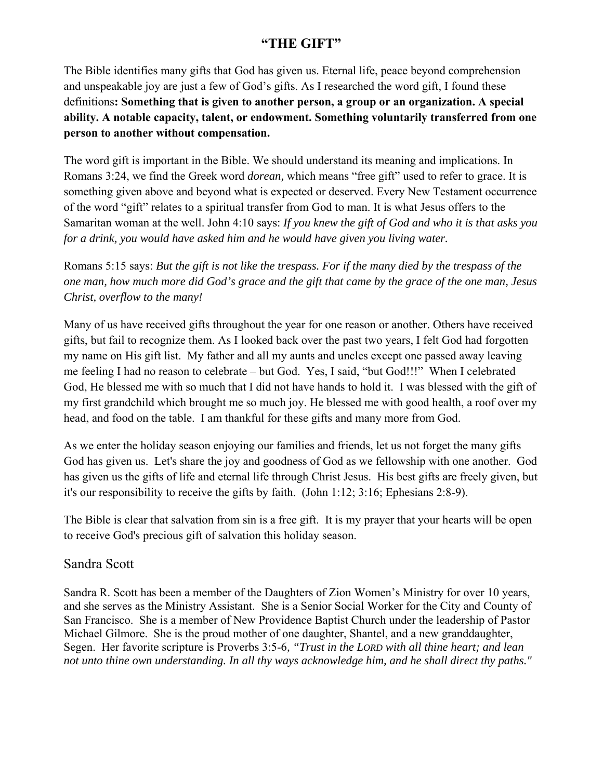## **"THE GIFT"**

The Bible identifies many gifts that God has given us. Eternal life, peace beyond comprehension and unspeakable joy are just a few of God's gifts. As I researched the word gift, I found these definitions**: Something that is given to another person, a group or an organization. A special ability. A notable capacity, talent, or endowment. Something voluntarily transferred from one person to another without compensation.** 

The word gift is important in the Bible. We should understand its meaning and implications. In Romans 3:24, we find the Greek word *dorean,* which means "free gift" used to refer to grace. It is something given above and beyond what is expected or deserved. Every New Testament occurrence of the word "gift" relates to a spiritual transfer from God to man. It is what Jesus offers to the Samaritan woman at the well. John 4:10 says: *If you knew the gift of God and who it is that asks you for a drink, you would have asked him and he would have given you living water.*

Romans 5:15 says: *But the gift is not like the trespass. For if the many died by the trespass of the one man, how much more did God's grace and the gift that came by the grace of the one man, Jesus Christ, overflow to the many!* 

Many of us have received gifts throughout the year for one reason or another. Others have received gifts, but fail to recognize them. As I looked back over the past two years, I felt God had forgotten my name on His gift list. My father and all my aunts and uncles except one passed away leaving me feeling I had no reason to celebrate – but God. Yes, I said, "but God!!!" When I celebrated God, He blessed me with so much that I did not have hands to hold it. I was blessed with the gift of my first grandchild which brought me so much joy. He blessed me with good health, a roof over my head, and food on the table. I am thankful for these gifts and many more from God.

As we enter the holiday season enjoying our families and friends, let us not forget the many gifts God has given us. Let's share the joy and goodness of God as we fellowship with one another. God has given us the gifts of life and eternal life through Christ Jesus. His best gifts are freely given, but it's our responsibility to receive the gifts by faith. (John 1:12; 3:16; Ephesians 2:8-9).

The Bible is clear that salvation from sin is a free gift. It is my prayer that your hearts will be open to receive God's precious gift of salvation this holiday season.

### Sandra Scott

Sandra R. Scott has been a member of the Daughters of Zion Women's Ministry for over 10 years, and she serves as the Ministry Assistant. She is a Senior Social Worker for the City and County of San Francisco. She is a member of New Providence Baptist Church under the leadership of Pastor Michael Gilmore. She is the proud mother of one daughter, Shantel, and a new granddaughter, Segen. Her favorite scripture is Proverbs 3:5-6*, "Trust in the LORD with all thine heart; and lean not unto thine own understanding. In all thy ways acknowledge him, and he shall direct thy paths."*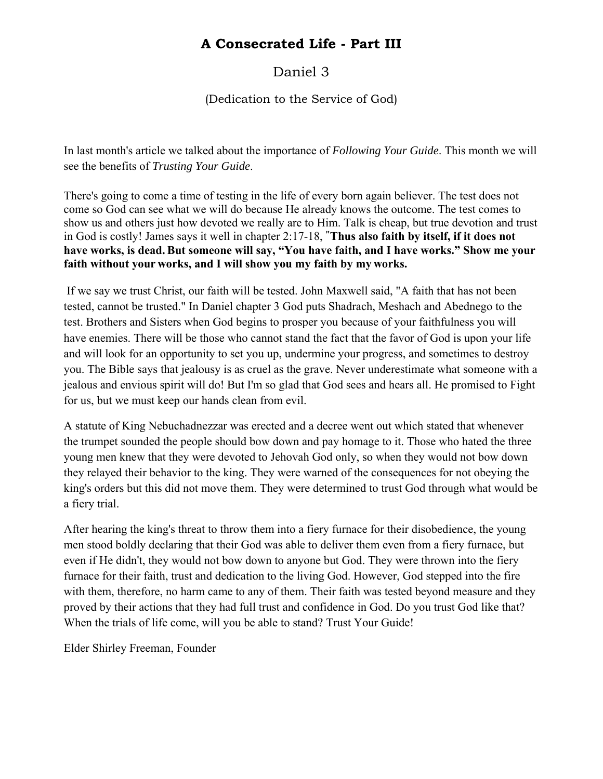# **A Consecrated Life - Part III**

# Daniel 3

### (Dedication to the Service of God)

In last month's article we talked about the importance of *Following Your Guide*. This month we will see the benefits of *Trusting Your Guide*.

There's going to come a time of testing in the life of every born again believer. The test does not come so God can see what we will do because He already knows the outcome. The test comes to show us and others just how devoted we really are to Him. Talk is cheap, but true devotion and trust in God is costly! James says it well in chapter 2:17-18, **"Thus also faith by itself, if it does not have works, is dead.But someone will say, "You have faith, and I have works." Show me your faith without your works, and I will show you my faith by my works.** 

 If we say we trust Christ, our faith will be tested. John Maxwell said, "A faith that has not been tested, cannot be trusted." In Daniel chapter 3 God puts Shadrach, Meshach and Abednego to the test. Brothers and Sisters when God begins to prosper you because of your faithfulness you will have enemies. There will be those who cannot stand the fact that the favor of God is upon your life and will look for an opportunity to set you up, undermine your progress, and sometimes to destroy you. The Bible says that jealousy is as cruel as the grave. Never underestimate what someone with a jealous and envious spirit will do! But I'm so glad that God sees and hears all. He promised to Fight for us, but we must keep our hands clean from evil.

A statute of King Nebuchadnezzar was erected and a decree went out which stated that whenever the trumpet sounded the people should bow down and pay homage to it. Those who hated the three young men knew that they were devoted to Jehovah God only, so when they would not bow down they relayed their behavior to the king. They were warned of the consequences for not obeying the king's orders but this did not move them. They were determined to trust God through what would be a fiery trial.

After hearing the king's threat to throw them into a fiery furnace for their disobedience, the young men stood boldly declaring that their God was able to deliver them even from a fiery furnace, but even if He didn't, they would not bow down to anyone but God. They were thrown into the fiery furnace for their faith, trust and dedication to the living God. However, God stepped into the fire with them, therefore, no harm came to any of them. Their faith was tested beyond measure and they proved by their actions that they had full trust and confidence in God. Do you trust God like that? When the trials of life come, will you be able to stand? Trust Your Guide!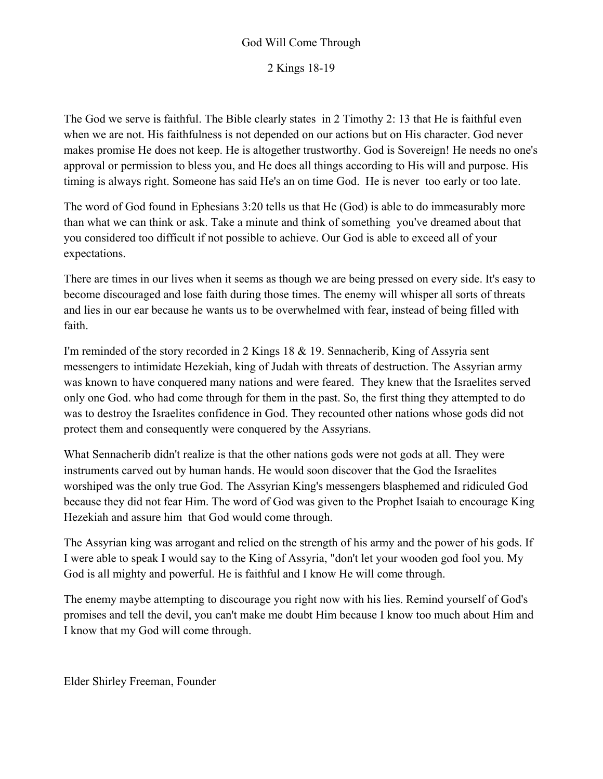### God Will Come Through

2 Kings 18-19

The God we serve is faithful. The Bible clearly states in 2 Timothy 2: 13 that He is faithful even when we are not. His faithfulness is not depended on our actions but on His character. God never makes promise He does not keep. He is altogether trustworthy. God is Sovereign! He needs no one's approval or permission to bless you, and He does all things according to His will and purpose. His timing is always right. Someone has said He's an on time God. He is never too early or too late.

The word of God found in Ephesians 3:20 tells us that He (God) is able to do immeasurably more than what we can think or ask. Take a minute and think of something you've dreamed about that you considered too difficult if not possible to achieve. Our God is able to exceed all of your expectations.

There are times in our lives when it seems as though we are being pressed on every side. It's easy to become discouraged and lose faith during those times. The enemy will whisper all sorts of threats and lies in our ear because he wants us to be overwhelmed with fear, instead of being filled with faith.

I'm reminded of the story recorded in 2 Kings 18 & 19. Sennacherib, King of Assyria sent messengers to intimidate Hezekiah, king of Judah with threats of destruction. The Assyrian army was known to have conquered many nations and were feared. They knew that the Israelites served only one God. who had come through for them in the past. So, the first thing they attempted to do was to destroy the Israelites confidence in God. They recounted other nations whose gods did not protect them and consequently were conquered by the Assyrians.

What Sennacherib didn't realize is that the other nations gods were not gods at all. They were instruments carved out by human hands. He would soon discover that the God the Israelites worshiped was the only true God. The Assyrian King's messengers blasphemed and ridiculed God because they did not fear Him. The word of God was given to the Prophet Isaiah to encourage King Hezekiah and assure him that God would come through.

The Assyrian king was arrogant and relied on the strength of his army and the power of his gods. If I were able to speak I would say to the King of Assyria, "don't let your wooden god fool you. My God is all mighty and powerful. He is faithful and I know He will come through.

The enemy maybe attempting to discourage you right now with his lies. Remind yourself of God's promises and tell the devil, you can't make me doubt Him because I know too much about Him and I know that my God will come through.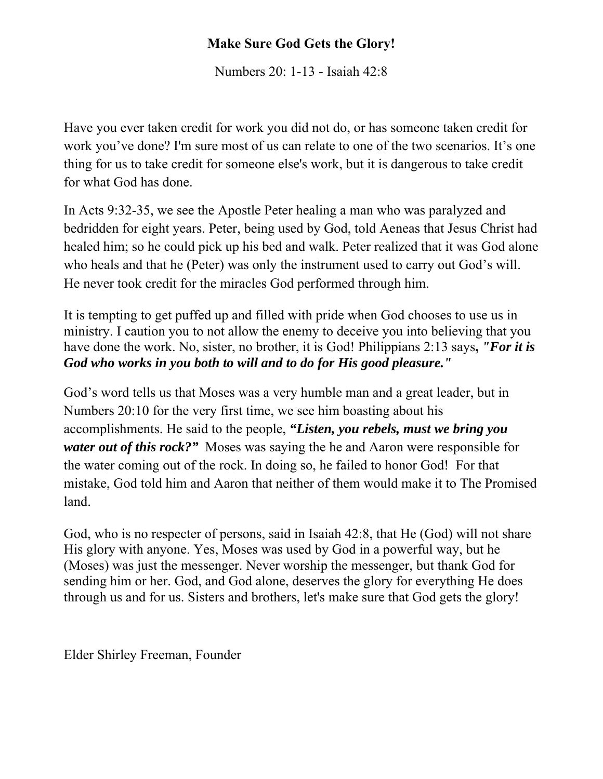# **Make Sure God Gets the Glory!**

Numbers 20: 1-13 - Isaiah 42:8

Have you ever taken credit for work you did not do, or has someone taken credit for work you've done? I'm sure most of us can relate to one of the two scenarios. It's one thing for us to take credit for someone else's work, but it is dangerous to take credit for what God has done.

In Acts 9:32-35, we see the Apostle Peter healing a man who was paralyzed and bedridden for eight years. Peter, being used by God, told Aeneas that Jesus Christ had healed him; so he could pick up his bed and walk. Peter realized that it was God alone who heals and that he (Peter) was only the instrument used to carry out God's will. He never took credit for the miracles God performed through him.

It is tempting to get puffed up and filled with pride when God chooses to use us in ministry. I caution you to not allow the enemy to deceive you into believing that you have done the work. No, sister, no brother, it is God! Philippians 2:13 says**,** *"For it is God who works in you both to will and to do for His good pleasure."* 

God's word tells us that Moses was a very humble man and a great leader, but in Numbers 20:10 for the very first time, we see him boasting about his accomplishments. He said to the people, *"Listen, you rebels, must we bring you water out of this rock?"* Moses was saying the he and Aaron were responsible for the water coming out of the rock. In doing so, he failed to honor God! For that mistake, God told him and Aaron that neither of them would make it to The Promised land.

God, who is no respecter of persons, said in Isaiah 42:8, that He (God) will not share His glory with anyone. Yes, Moses was used by God in a powerful way, but he (Moses) was just the messenger. Never worship the messenger, but thank God for sending him or her. God, and God alone, deserves the glory for everything He does through us and for us. Sisters and brothers, let's make sure that God gets the glory!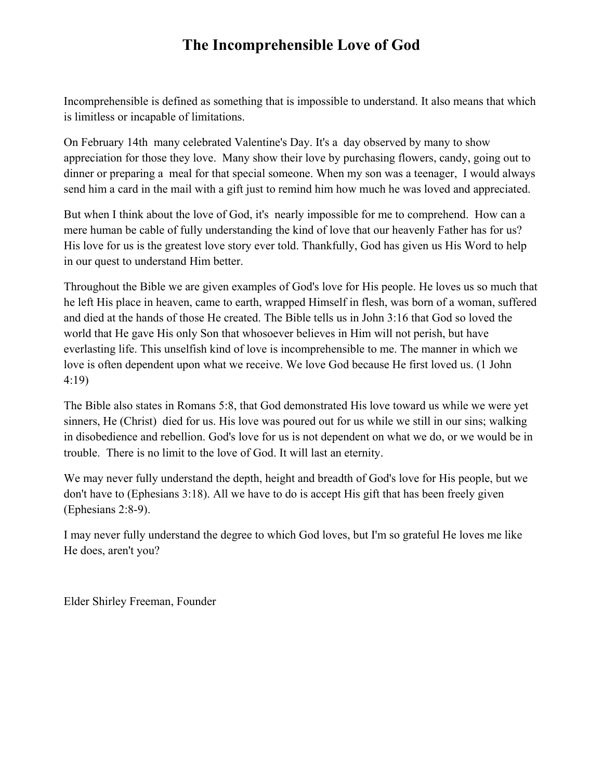# **The Incomprehensible Love of God**

Incomprehensible is defined as something that is impossible to understand. It also means that which is limitless or incapable of limitations.

On February 14th many celebrated Valentine's Day. It's a day observed by many to show appreciation for those they love. Many show their love by purchasing flowers, candy, going out to dinner or preparing a meal for that special someone. When my son was a teenager, I would always send him a card in the mail with a gift just to remind him how much he was loved and appreciated.

But when I think about the love of God, it's nearly impossible for me to comprehend. How can a mere human be cable of fully understanding the kind of love that our heavenly Father has for us? His love for us is the greatest love story ever told. Thankfully, God has given us His Word to help in our quest to understand Him better.

Throughout the Bible we are given examples of God's love for His people. He loves us so much that he left His place in heaven, came to earth, wrapped Himself in flesh, was born of a woman, suffered and died at the hands of those He created. The Bible tells us in John 3:16 that God so loved the world that He gave His only Son that whosoever believes in Him will not perish, but have everlasting life. This unselfish kind of love is incomprehensible to me. The manner in which we love is often dependent upon what we receive. We love God because He first loved us. (1 John 4:19)

The Bible also states in Romans 5:8, that God demonstrated His love toward us while we were yet sinners, He (Christ) died for us. His love was poured out for us while we still in our sins; walking in disobedience and rebellion. God's love for us is not dependent on what we do, or we would be in trouble. There is no limit to the love of God. It will last an eternity.

We may never fully understand the depth, height and breadth of God's love for His people, but we don't have to (Ephesians 3:18). All we have to do is accept His gift that has been freely given (Ephesians 2:8-9).

I may never fully understand the degree to which God loves, but I'm so grateful He loves me like He does, aren't you?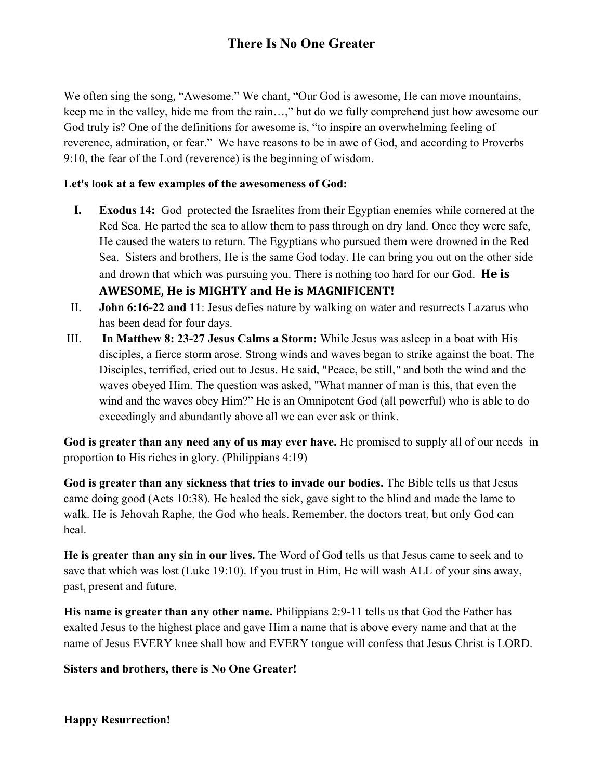# **There Is No One Greater**

We often sing the song*,* "Awesome." We chant, "Our God is awesome, He can move mountains, keep me in the valley, hide me from the rain…," but do we fully comprehend just how awesome our God truly is? One of the definitions for awesome is, "to inspire an overwhelming feeling of reverence, admiration, or fear." We have reasons to be in awe of God, and according to Proverbs 9:10, the fear of the Lord (reverence) is the beginning of wisdom.

#### **Let's look at a few examples of the awesomeness of God:**

- **I. Exodus 14:** God protected the Israelites from their Egyptian enemies while cornered at the Red Sea. He parted the sea to allow them to pass through on dry land. Once they were safe, He caused the waters to return. The Egyptians who pursued them were drowned in the Red Sea. Sisters and brothers, He is the same God today. He can bring you out on the other side and drown that which was pursuing you. There is nothing too hard for our God. **He is AWESOME, He is MIGHTY and He is MAGNIFICENT!**
- II. **John 6:16-22 and 11**: Jesus defies nature by walking on water and resurrects Lazarus who has been dead for four days.
- III. **In Matthew 8: 23-27 Jesus Calms a Storm:** While Jesus was asleep in a boat with His disciples, a fierce storm arose. Strong winds and waves began to strike against the boat. The Disciples, terrified, cried out to Jesus. He said, "Peace, be still,*"* and both the wind and the waves obeyed Him. The question was asked, "What manner of man is this, that even the wind and the waves obey Him?" He is an Omnipotent God (all powerful) who is able to do exceedingly and abundantly above all we can ever ask or think.

**God is greater than any need any of us may ever have.** He promised to supply all of our needs in proportion to His riches in glory. (Philippians 4:19)

**God is greater than any sickness that tries to invade our bodies.** The Bible tells us that Jesus came doing good (Acts 10:38). He healed the sick, gave sight to the blind and made the lame to walk. He is Jehovah Raphe, the God who heals. Remember, the doctors treat, but only God can heal.

**He is greater than any sin in our lives.** The Word of God tells us that Jesus came to seek and to save that which was lost (Luke 19:10). If you trust in Him, He will wash ALL of your sins away, past, present and future.

**His name is greater than any other name.** Philippians 2:9-11 tells us that God the Father has exalted Jesus to the highest place and gave Him a name that is above every name and that at the name of Jesus EVERY knee shall bow and EVERY tongue will confess that Jesus Christ is LORD.

**Sisters and brothers, there is No One Greater!** 

**Happy Resurrection!**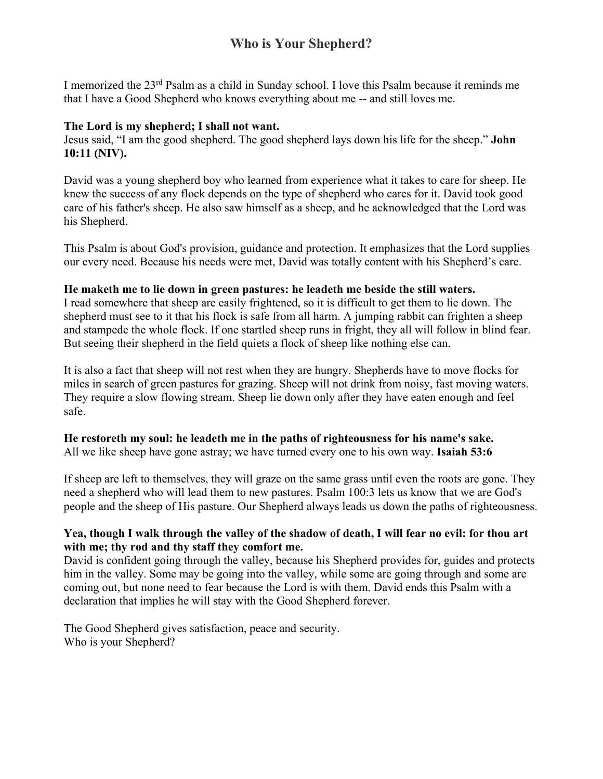## **Who is Your Shepherd?**

I memorized the 23rd Psalm as a child in Sunday school. I love this Psalm because it reminds me that I have a Good Shepherd who knows everything about me -- and still loves me.

#### **The Lord is my shepherd; I shall not want.**

Jesus said, "I am the good shepherd. The good shepherd lays down his life for the sheep." **John 10:11 (NIV).**

David was a young shepherd boy who learned from experience what it takes to care for sheep. He knew the success of any flock depends on the type of shepherd who cares for it. David took good care of his father's sheep. He also saw himself as a sheep, and he acknowledged that the Lord was his Shepherd.

This Psalm is about God's provision, guidance and protection. It emphasizes that the Lord supplies our every need. Because his needs were met, David was totally content with his Shepherd's care.

#### **He maketh me to lie down in green pastures: he leadeth me beside the still waters.**

I read somewhere that sheep are easily frightened, so it is difficult to get them to lie down. The shepherd must see to it that his flock is safe from all harm. A jumping rabbit can frighten a sheep and stampede the whole flock. If one startled sheep runs in fright, they all will follow in blind fear. But seeing their shepherd in the field quiets a flock of sheep like nothing else can.

It is also a fact that sheep will not rest when they are hungry. Shepherds have to move flocks for miles in search of green pastures for grazing. Sheep will not drink from noisy, fast moving waters. They require a slow flowing stream. Sheep lie down only after they have eaten enough and feel safe.

#### **He restoreth my soul: he leadeth me in the paths of righteousness for his name's sake.**  All we like sheep have gone astray; we have turned every one to his own way. **Isaiah 53:6**

If sheep are left to themselves, they will graze on the same grass until even the roots are gone. They need a shepherd who will lead them to new pastures. Psalm 100:3 lets us know that we are God's people and the sheep of His pasture. Our Shepherd always leads us down the paths of righteousness.

#### **Yea, though I walk through the valley of the shadow of death, I will fear no evil: for thou art with me; thy rod and thy staff they comfort me.**

David is confident going through the valley, because his Shepherd provides for, guides and protects him in the valley. Some may be going into the valley, while some are going through and some are coming out, but none need to fear because the Lord is with them. David ends this Psalm with a declaration that implies he will stay with the Good Shepherd forever.

The Good Shepherd gives satisfaction, peace and security. Who is your Shepherd?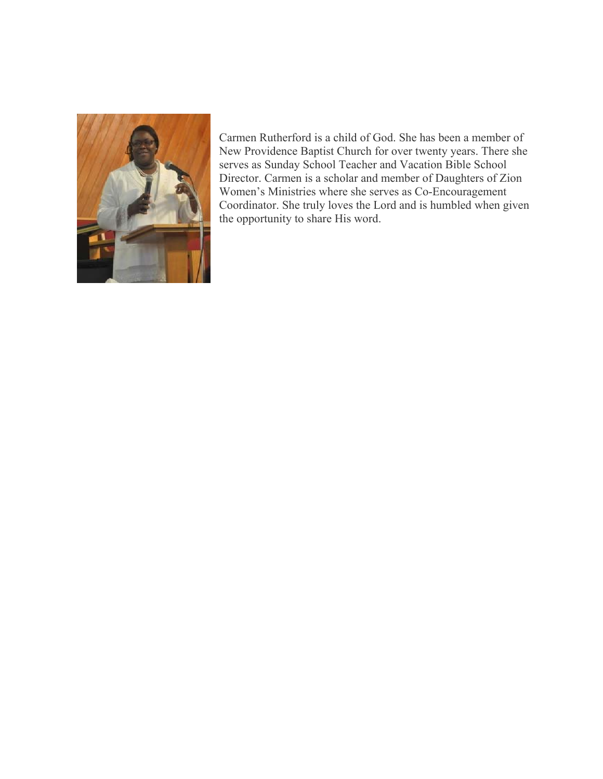

Carmen Rutherford is a child of God. She has been a member of New Providence Baptist Church for over twenty years. There she serves as Sunday School Teacher and Vacation Bible School Director. Carmen is a scholar and member of Daughters of Zion Women's Ministries where she serves as Co-Encouragement Coordinator. She truly loves the Lord and is humbled when given the opportunity to share His word.